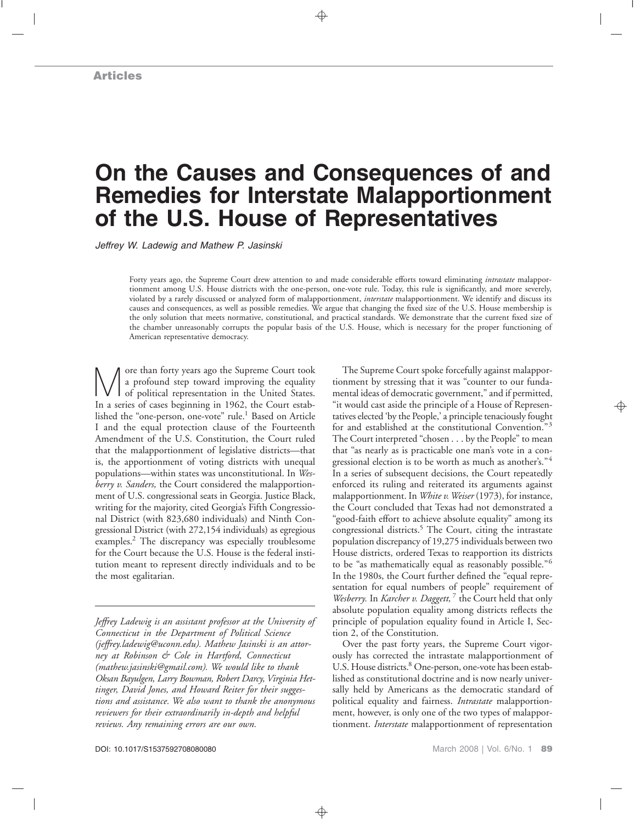# **On the Causes and Consequences of and Remedies for Interstate Malapportionment of the U.S. House of Representatives**

*Jeffrey W. Ladewig and Mathew P. Jasinski*

Forty years ago, the Supreme Court drew attention to and made considerable efforts toward eliminating *intrastate* malapportionment among U.S. House districts with the one-person, one-vote rule. Today, this rule is significantly, and more severely, violated by a rarely discussed or analyzed form of malapportionment, *interstate* malapportionment. We identify and discuss its causes and consequences, as well as possible remedies. We argue that changing the fixed size of the U.S. House membership is the only solution that meets normative, constitutional, and practical standards. We demonstrate that the current fixed size of the chamber unreasonably corrupts the popular basis of the U.S. House, which is necessary for the proper functioning of American representative democracy.

More than forty years ago the Supreme Court took<br>a profound step toward improving the equality<br>of political representation in the United States. a profound step toward improving the equality of political representation in the United States. In a series of cases beginning in 1962, the Court established the "one-person, one-vote" rule.<sup>1</sup> Based on Article I and the equal protection clause of the Fourteenth Amendment of the U.S. Constitution, the Court ruled that the malapportionment of legislative districts—that is, the apportionment of voting districts with unequal populations—within states was unconstitutional. In *Wesberry v. Sanders,* the Court considered the malapportionment of U.S. congressional seats in Georgia. Justice Black, writing for the majority, cited Georgia's Fifth Congressional District (with 823,680 individuals) and Ninth Congressional District (with 272,154 individuals) as egregious examples.<sup>2</sup> The discrepancy was especially troublesome for the Court because the U.S. House is the federal institution meant to represent directly individuals and to be the most egalitarian.

*Jeffrey Ladewig is an assistant professor at the University of Connecticut in the Department of Political Science (jeffrey.ladewig@uconn.edu). Mathew Jasinski is an attorney at Robinson & Cole in Hartford, Connecticut (mathew.jasinski@gmail.com). We would like to thank Oksan Bayulgen, Larry Bowman, Robert Darcy, Virginia Hettinger, David Jones, and Howard Reiter for their suggestions and assistance. We also want to thank the anonymous reviewers for their extraordinarily in-depth and helpful reviews. Any remaining errors are our own.*

The Supreme Court spoke forcefully against malapportionment by stressing that it was "counter to our fundamental ideas of democratic government," and if permitted, "it would cast aside the principle of a House of Representatives elected 'by the People,' a principle tenaciously fought for and established at the constitutional Convention."<sup>3</sup> The Court interpreted "chosen . . . by the People" to mean that "as nearly as is practicable one man's vote in a congressional election is to be worth as much as another's."<sup>4</sup> In a series of subsequent decisions, the Court repeatedly enforced its ruling and reiterated its arguments against malapportionment. In *White v.Weiser* (1973), for instance, the Court concluded that Texas had not demonstrated a "good-faith effort to achieve absolute equality" among its congressional districts.<sup>5</sup> The Court, citing the intrastate population discrepancy of 19,275 individuals between two House districts, ordered Texas to reapportion its districts to be "as mathematically equal as reasonably possible."<sup>6</sup> In the 1980s, the Court further defined the "equal representation for equal numbers of people" requirement of *Wesberry.* In *Karcher v. Daggett,* <sup>7</sup> the Court held that only absolute population equality among districts reflects the principle of population equality found in Article I, Section 2, of the Constitution.

Over the past forty years, the Supreme Court vigorously has corrected the intrastate malapportionment of U.S. House districts.<sup>8</sup> One-person, one-vote has been established as constitutional doctrine and is now nearly universally held by Americans as the democratic standard of political equality and fairness. *Intrastate* malapportionment, however, is only one of the two types of malapportionment. *Interstate* malapportionment of representation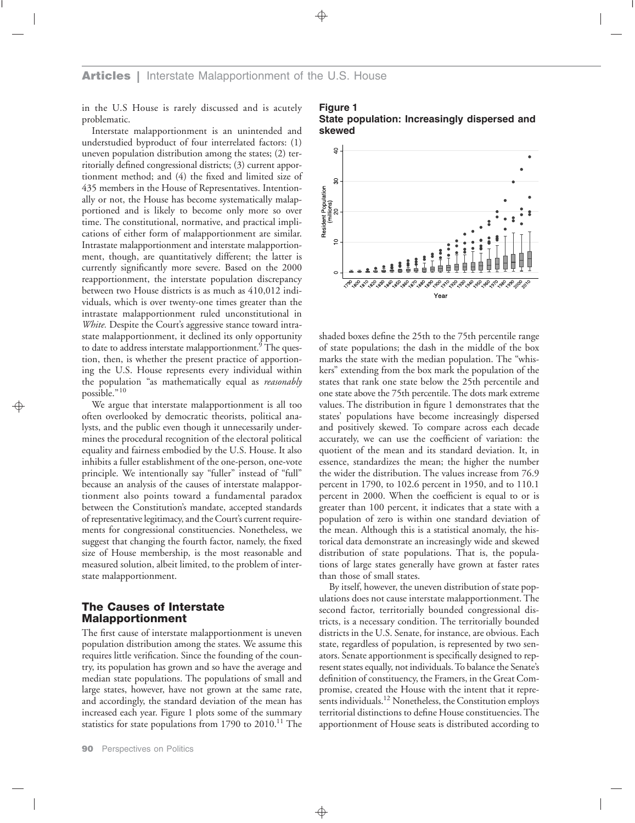in the U.S House is rarely discussed and is acutely problematic.

Interstate malapportionment is an unintended and understudied byproduct of four interrelated factors: (1) uneven population distribution among the states; (2) territorially defined congressional districts; (3) current apportionment method; and (4) the fixed and limited size of 435 members in the House of Representatives. Intentionally or not, the House has become systematically malapportioned and is likely to become only more so over time. The constitutional, normative, and practical implications of either form of malapportionment are similar. Intrastate malapportionment and interstate malapportionment, though, are quantitatively different; the latter is currently significantly more severe. Based on the 2000 reapportionment, the interstate population discrepancy between two House districts is as much as 410,012 individuals, which is over twenty-one times greater than the intrastate malapportionment ruled unconstitutional in *White.* Despite the Court's aggressive stance toward intrastate malapportionment, it declined its only opportunity to date to address interstate malapportionment.<sup>9</sup> The question, then, is whether the present practice of apportioning the U.S. House represents every individual within the population "as mathematically equal as *reasonably* possible."<sup>10</sup>

We argue that interstate malapportionment is all too often overlooked by democratic theorists, political analysts, and the public even though it unnecessarily undermines the procedural recognition of the electoral political equality and fairness embodied by the U.S. House. It also inhibits a fuller establishment of the one-person, one-vote principle. We intentionally say "fuller" instead of "full" because an analysis of the causes of interstate malapportionment also points toward a fundamental paradox between the Constitution's mandate, accepted standards of representative legitimacy, and the Court's current requirements for congressional constituencies. Nonetheless, we suggest that changing the fourth factor, namely, the fixed size of House membership, is the most reasonable and measured solution, albeit limited, to the problem of interstate malapportionment.

#### **The Causes of Interstate Malapportionment**

The first cause of interstate malapportionment is uneven population distribution among the states. We assume this requires little verification. Since the founding of the country, its population has grown and so have the average and median state populations. The populations of small and large states, however, have not grown at the same rate, and accordingly, the standard deviation of the mean has increased each year. Figure 1 plots some of the summary statistics for state populations from  $1790$  to  $2010$ .<sup>11</sup> The

#### **Figure 1 State population: Increasingly dispersed and skewed**



shaded boxes define the 25th to the 75th percentile range of state populations; the dash in the middle of the box marks the state with the median population. The "whiskers" extending from the box mark the population of the states that rank one state below the 25th percentile and one state above the 75th percentile. The dots mark extreme values. The distribution in figure 1 demonstrates that the states' populations have become increasingly dispersed and positively skewed. To compare across each decade accurately, we can use the coefficient of variation: the quotient of the mean and its standard deviation. It, in essence, standardizes the mean; the higher the number the wider the distribution. The values increase from 76.9 percent in 1790, to 102.6 percent in 1950, and to 110.1 percent in 2000. When the coefficient is equal to or is greater than 100 percent, it indicates that a state with a population of zero is within one standard deviation of the mean. Although this is a statistical anomaly, the historical data demonstrate an increasingly wide and skewed distribution of state populations. That is, the populations of large states generally have grown at faster rates than those of small states.

By itself, however, the uneven distribution of state populations does not cause interstate malapportionment. The second factor, territorially bounded congressional districts, is a necessary condition. The territorially bounded districts in the U.S. Senate, for instance, are obvious. Each state, regardless of population, is represented by two senators. Senate apportionment is specifically designed to represent states equally, not individuals. To balance the Senate's definition of constituency, the Framers, in the Great Compromise, created the House with the intent that it represents individuals.<sup>12</sup> Nonetheless, the Constitution employs territorial distinctions to define House constituencies. The apportionment of House seats is distributed according to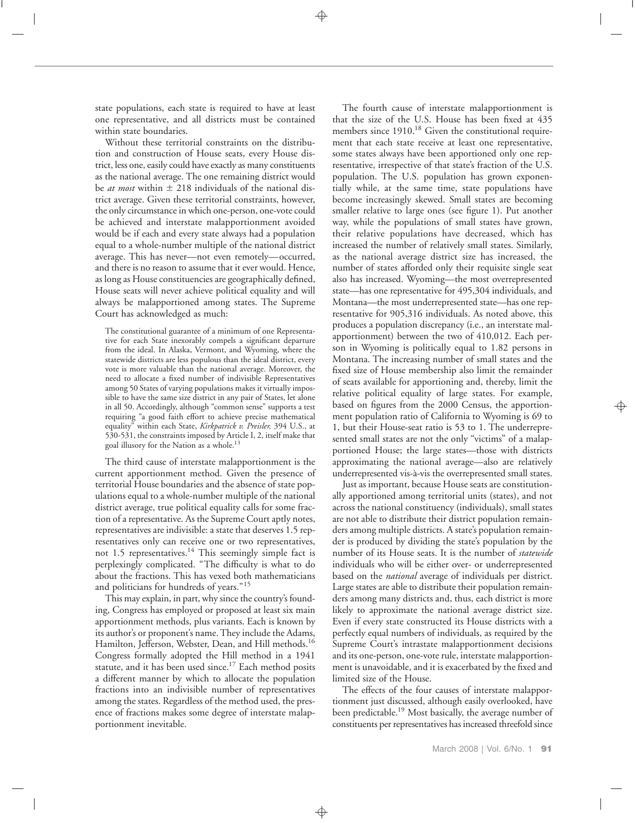state populations, each state is required to have at least one representative, and all districts must be contained within state boundaries.

Without these territorial constraints on the distribution and construction of House seats, every House district, less one, easily could have exactly as many constituents as the national average. The one remaining district would be *at most* within  $\pm$  218 individuals of the national district average. Given these territorial constraints, however, the only circumstance in which one-person, one-vote could be achieved and interstate malapportionment avoided would be if each and every state always had a population equal to a whole-number multiple of the national district average. This has never—not even remotely—occurred, and there is no reason to assume that it ever would. Hence, as long as House constituencies are geographically defined, House seats will never achieve political equality and will always be malapportioned among states. The Supreme Court has acknowledged as much:

The constitutional guarantee of a minimum of one Representative for each State inexorably compels a significant departure from the ideal. In Alaska, Vermont, and Wyoming, where the statewide districts are less populous than the ideal district, every vote is more valuable than the national average. Moreover, the need to allocate a fixed number of indivisible Representatives among 50 States of varying populations makes it virtually impossible to have the same size district in any pair of States, let alone in all 50. Accordingly, although "common sense" supports a test requiring "a good faith effort to achieve precise mathematical equality" within each State, *Kirkpatrick v. Preisler,* 394 U.S., at 530-531, the constraints imposed by Article I, 2, itself make that goal illusory for the Nation as a whole.13

The third cause of interstate malapportionment is the current apportionment method. Given the presence of territorial House boundaries and the absence of state populations equal to a whole-number multiple of the national district average, true political equality calls for some fraction of a representative. As the Supreme Court aptly notes, representatives are indivisible: a state that deserves 1.5 representatives only can receive one or two representatives, not 1.5 representatives.<sup>14</sup> This seemingly simple fact is perplexingly complicated. "The difficulty is what to do about the fractions. This has vexed both mathematicians and politicians for hundreds of years."<sup>15</sup>

This may explain, in part, why since the country's founding, Congress has employed or proposed at least six main apportionment methods, plus variants. Each is known by its author's or proponent's name. They include the Adams, Hamilton, Jefferson, Webster, Dean, and Hill methods.<sup>16</sup> Congress formally adopted the Hill method in a 1941 statute, and it has been used since.<sup>17</sup> Each method posits a different manner by which to allocate the population fractions into an indivisible number of representatives among the states. Regardless of the method used, the presence of fractions makes some degree of interstate malapportionment inevitable.

The fourth cause of interstate malapportionment is that the size of the U.S. House has been fixed at 435 members since 1910.<sup>18</sup> Given the constitutional requirement that each state receive at least one representative, some states always have been apportioned only one representative, irrespective of that state's fraction of the U.S. population. The U.S. population has grown exponentially while, at the same time, state populations have become increasingly skewed. Small states are becoming smaller relative to large ones (see figure 1). Put another way, while the populations of small states have grown, their relative populations have decreased, which has increased the number of relatively small states. Similarly, as the national average district size has increased, the number of states afforded only their requisite single seat also has increased. Wyoming—the most overrepresented state—has one representative for 495,304 individuals, and Montana—the most underrepresented state—has one representative for 905,316 individuals. As noted above, this produces a population discrepancy (i.e., an interstate malapportionment) between the two of 410,012. Each person in Wyoming is politically equal to 1.82 persons in Montana. The increasing number of small states and the fixed size of House membership also limit the remainder of seats available for apportioning and, thereby, limit the relative political equality of large states. For example, based on figures from the 2000 Census, the apportionment population ratio of California to Wyoming is 69 to 1, but their House-seat ratio is 53 to 1. The underrepresented small states are not the only "victims" of a malapportioned House; the large states—those with districts approximating the national average—also are relatively underrepresented vis-à-vis the overrepresented small states.

Just as important, because House seats are constitutionally apportioned among territorial units (states), and not across the national constituency (individuals), small states are not able to distribute their district population remainders among multiple districts. A state's population remainder is produced by dividing the state's population by the number of its House seats. It is the number of *statewide* individuals who will be either over- or underrepresented based on the *national* average of individuals per district. Large states are able to distribute their population remainders among many districts and, thus, each district is more likely to approximate the national average district size. Even if every state constructed its House districts with a perfectly equal numbers of individuals, as required by the Supreme Court's intrastate malapportionment decisions and its one-person, one-vote rule, interstate malapportionment is unavoidable, and it is exacerbated by the fixed and limited size of the House.

The effects of the four causes of interstate malapportionment just discussed, although easily overlooked, have been predictable.<sup>19</sup> Most basically, the average number of constituents per representatives has increased threefold since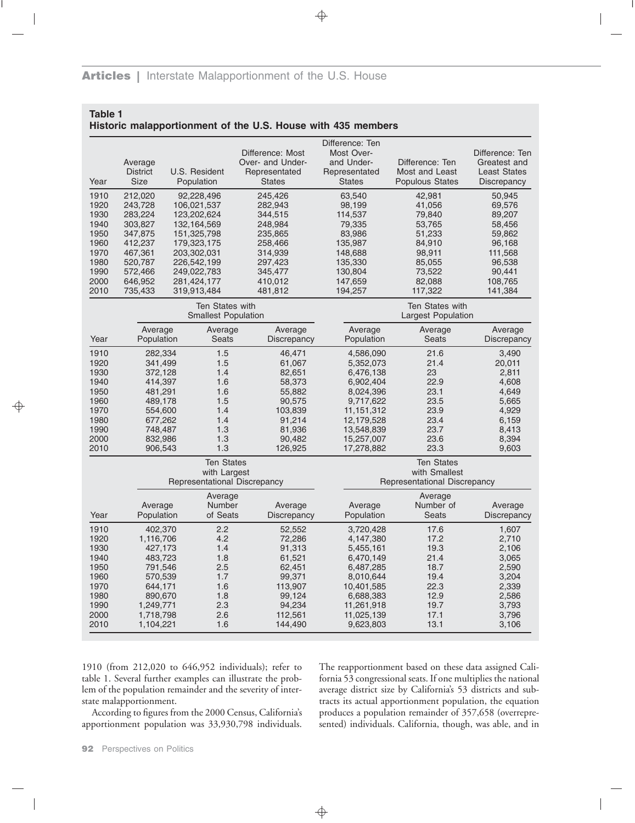| Table 1 |  |
|---------|--|
|---------|--|

| Historic malapportionment of the U.S. House with 435 members |  |  |  |  |  |  |
|--------------------------------------------------------------|--|--|--|--|--|--|
|--------------------------------------------------------------|--|--|--|--|--|--|

| Year                         | Average<br><b>District</b><br><b>Size</b> | U.S. Resident<br>Population                              | Difference: Most<br>Over- and Under-<br>Representated<br>States   | Difference: Ten<br>Most Over-<br>and Under-<br>Representated<br>States | Difference: Ten<br>Most and Least<br><b>Populous States</b> | Difference: Ten<br>Greatest and<br><b>Least States</b><br>Discrepancy |
|------------------------------|-------------------------------------------|----------------------------------------------------------|-------------------------------------------------------------------|------------------------------------------------------------------------|-------------------------------------------------------------|-----------------------------------------------------------------------|
| 1910                         | 212,020                                   | 92,228,496                                               | 245,426                                                           | 63,540                                                                 | 42,981                                                      | 50,945                                                                |
| 1920                         | 243,728                                   | 106,021,537                                              | 282,943                                                           | 98,199                                                                 | 41,056                                                      | 69,576                                                                |
| 1930                         | 283,224                                   | 123,202,624                                              | 344,515                                                           | 114,537                                                                | 79,840                                                      | 89,207                                                                |
| 1940                         | 303,827                                   | 132,164,569                                              | 248,984                                                           | 79,335                                                                 | 53,765                                                      | 58,456                                                                |
| 1950                         | 347,875                                   | 151,325,798                                              | 235,865                                                           | 83,986                                                                 | 51,233                                                      | 59,862                                                                |
| 1960                         | 412,237                                   | 179,323,175                                              | 258,466                                                           | 135,987                                                                | 84,910                                                      | 96,168                                                                |
| 1970                         | 467,361                                   | 203,302,031                                              | 314,939                                                           | 148,688                                                                | 98,911                                                      | 111,568                                                               |
| 1980<br>1990<br>2000<br>2010 | 520,787<br>572,466<br>646,952             | 226,542,199<br>249,022,783<br>281,424,177<br>319,913,484 | 297,423<br>345,477<br>410,012                                     | 135,330<br>130,804<br>147,659                                          | 85,055<br>73,522<br>82,088                                  | 96,538<br>90,441<br>108,765<br>141,384                                |
|                              | 735,433                                   |                                                          | Ten States with<br><b>Smallest Population</b>                     | 481,812<br>194,257<br>117,322<br>Ten States with<br>Largest Population |                                                             |                                                                       |
| Year                         | Average                                   | Average                                                  | Average                                                           | Average                                                                | Average                                                     | Average                                                               |
|                              | Population                                | Seats                                                    | Discrepancy                                                       | Population                                                             | Seats                                                       | Discrepancy                                                           |
| 1910                         | 282,334                                   | 1.5                                                      | 46,471                                                            | 4,586,090                                                              | 21.6                                                        | 3,490                                                                 |
| 1920                         | 341,499                                   | 1.5                                                      | 61,067                                                            | 5,352,073                                                              | 21.4                                                        | 20,011                                                                |
| 1930<br>1940                 | 1.4<br>372,128<br>414,397<br>1.6          |                                                          | 82,651<br>58,373                                                  | 6,476,138<br>6,902,404                                                 | 23<br>22.9                                                  | 2,811<br>4,608                                                        |
| 1950                         | 481,291                                   | 1.6                                                      | 55,882                                                            | 8,024,396                                                              | 23.1                                                        | 4,649                                                                 |
| 1960                         | 489,178                                   | 1.5                                                      | 90,575                                                            | 9,717,622                                                              | 23.5                                                        | 5,665                                                                 |
| 1970                         | 554,600                                   | 1.4                                                      | 103,839                                                           | 11, 151, 312                                                           | 23.9                                                        | 4,929                                                                 |
| 1980                         | 677,262                                   | 1.4                                                      | 91,214                                                            | 12,179,528                                                             | 23.4                                                        | 6,159                                                                 |
| 1990                         | 748,487                                   | 1.3                                                      | 81,936                                                            | 13,548,839                                                             | 23.7                                                        | 8,413                                                                 |
| 2000                         | 832,986                                   | 1.3                                                      | 90,482                                                            | 15,257,007                                                             | 23.6                                                        | 8,394                                                                 |
| 2010                         | 906,543                                   | 1.3                                                      | 126,925                                                           | 17,278,882                                                             | 23.3                                                        | 9,603                                                                 |
|                              |                                           |                                                          | <b>Ten States</b><br>with Largest<br>Representational Discrepancy | <b>Ten States</b><br>with Smallest<br>Representational Discrepancy     |                                                             |                                                                       |
| Year                         | Average<br>Population                     | Average<br><b>Number</b><br>of Seats                     | Average<br>Discrepancy                                            | Average<br>Population                                                  | Average<br>Number of<br>Seats                               | Average<br>Discrepancy                                                |
| 1910                         | 402,370                                   | 2.2                                                      | 52,552                                                            | 3,720,428                                                              | 17.6                                                        | 1,607                                                                 |
| 1920                         | 1,116,706                                 | 4.2                                                      | 72,286                                                            | 4,147,380                                                              | 17.2                                                        | 2,710                                                                 |
| 1930                         | 427,173                                   | 1.4                                                      | 91,313                                                            | 5,455,161                                                              | 19.3                                                        | 2,106                                                                 |
| 1940                         | 483,723                                   | 1.8                                                      | 61,521                                                            | 6,470,149                                                              | 21.4                                                        | 3,065                                                                 |
| 1950                         | 791,546                                   | 2.5                                                      | 62,451                                                            | 6,487,285                                                              | 18.7                                                        | 2,590                                                                 |
| 1960                         | 570,539                                   | 1.7                                                      | 99,371                                                            | 8,010,644                                                              | 19.4                                                        | 3,204                                                                 |
| 1970                         | 644,171                                   | 1.6                                                      | 113,907                                                           | 10,401,585                                                             | 22.3                                                        | 2,339                                                                 |
| 1980                         | 890,670                                   | 1.8                                                      | 99,124                                                            | 6,688,383                                                              | 12.9                                                        | 2,586                                                                 |
| 1990                         | 1,249,771                                 | 2.3                                                      | 94,234                                                            | 11,261,918                                                             | 19.7                                                        | 3,793                                                                 |
| 2000                         | 1,718,798                                 | 2.6                                                      | 112,561                                                           | 11,025,139                                                             | 17.1                                                        | 3,796                                                                 |
| 2010                         | 1,104,221                                 | 1.6                                                      | 144,490                                                           | 9,623,803                                                              | 13.1                                                        | 3,106                                                                 |

1910 (from 212,020 to 646,952 individuals); refer to table 1. Several further examples can illustrate the problem of the population remainder and the severity of interstate malapportionment.

According to figures from the 2000 Census, California's apportionment population was 33,930,798 individuals.

The reapportionment based on these data assigned California 53 congressional seats. If one multiplies the national average district size by California's 53 districts and subtracts its actual apportionment population, the equation produces a population remainder of 357,658 (overrepresented) individuals. California, though, was able, and in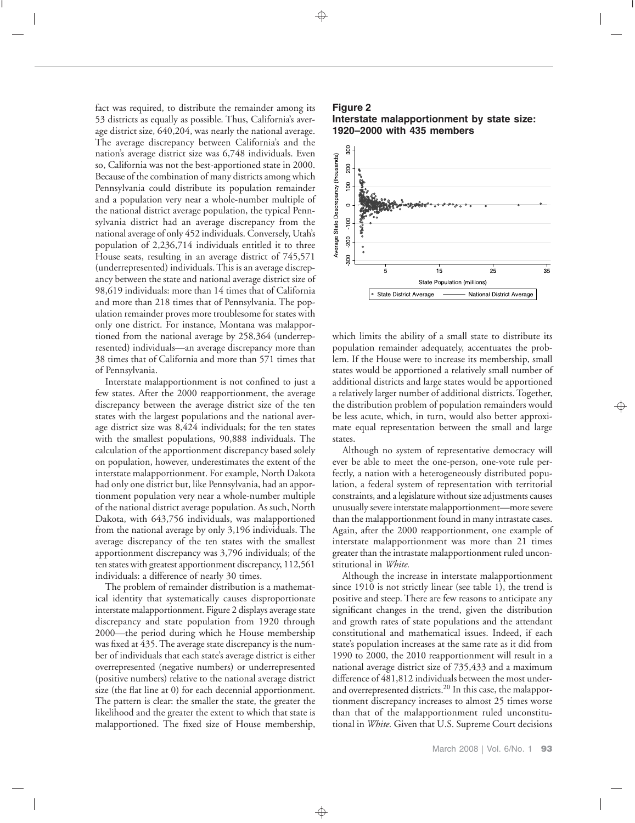fact was required, to distribute the remainder among its 53 districts as equally as possible. Thus, California's average district size, 640,204, was nearly the national average. The average discrepancy between California's and the nation's average district size was 6,748 individuals. Even so, California was not the best-apportioned state in 2000. Because of the combination of many districts among which Pennsylvania could distribute its population remainder and a population very near a whole-number multiple of the national district average population, the typical Pennsylvania district had an average discrepancy from the national average of only 452 individuals. Conversely, Utah's population of 2,236,714 individuals entitled it to three House seats, resulting in an average district of 745,571 (underrepresented) individuals. This is an average discrepancy between the state and national average district size of 98,619 individuals: more than 14 times that of California and more than 218 times that of Pennsylvania. The population remainder proves more troublesome for states with only one district. For instance, Montana was malapportioned from the national average by 258,364 (underrepresented) individuals—an average discrepancy more than 38 times that of California and more than 571 times that of Pennsylvania.

Interstate malapportionment is not confined to just a few states. After the 2000 reapportionment, the average discrepancy between the average district size of the ten states with the largest populations and the national average district size was 8,424 individuals; for the ten states with the smallest populations, 90,888 individuals. The calculation of the apportionment discrepancy based solely on population, however, underestimates the extent of the interstate malapportionment. For example, North Dakota had only one district but, like Pennsylvania, had an apportionment population very near a whole-number multiple of the national district average population. As such, North Dakota, with 643,756 individuals, was malapportioned from the national average by only 3,196 individuals. The average discrepancy of the ten states with the smallest apportionment discrepancy was 3,796 individuals; of the ten states with greatest apportionment discrepancy, 112,561 individuals: a difference of nearly 30 times.

The problem of remainder distribution is a mathematical identity that systematically causes disproportionate interstate malapportionment. Figure 2 displays average state discrepancy and state population from 1920 through 2000—the period during which he House membership was fixed at 435. The average state discrepancy is the number of individuals that each state's average district is either overrepresented (negative numbers) or underrepresented (positive numbers) relative to the national average district size (the flat line at 0) for each decennial apportionment. The pattern is clear: the smaller the state, the greater the likelihood and the greater the extent to which that state is malapportioned. The fixed size of House membership,

#### **Figure 2 Interstate malapportionment by state size: 1920–2000 with 435 members**



which limits the ability of a small state to distribute its population remainder adequately, accentuates the problem. If the House were to increase its membership, small states would be apportioned a relatively small number of additional districts and large states would be apportioned a relatively larger number of additional districts. Together, the distribution problem of population remainders would be less acute, which, in turn, would also better approximate equal representation between the small and large states.

Although no system of representative democracy will ever be able to meet the one-person, one-vote rule perfectly, a nation with a heterogeneously distributed population, a federal system of representation with territorial constraints, and a legislature without size adjustments causes unusually severe interstate malapportionment—more severe than the malapportionment found in many intrastate cases. Again, after the 2000 reapportionment, one example of interstate malapportionment was more than 21 times greater than the intrastate malapportionment ruled unconstitutional in *White.*

Although the increase in interstate malapportionment since 1910 is not strictly linear (see table 1), the trend is positive and steep. There are few reasons to anticipate any significant changes in the trend, given the distribution and growth rates of state populations and the attendant constitutional and mathematical issues. Indeed, if each state's population increases at the same rate as it did from 1990 to 2000, the 2010 reapportionment will result in a national average district size of 735,433 and a maximum difference of 481,812 individuals between the most underand overrepresented districts.<sup>20</sup> In this case, the malapportionment discrepancy increases to almost 25 times worse than that of the malapportionment ruled unconstitutional in *White.* Given that U.S. Supreme Court decisions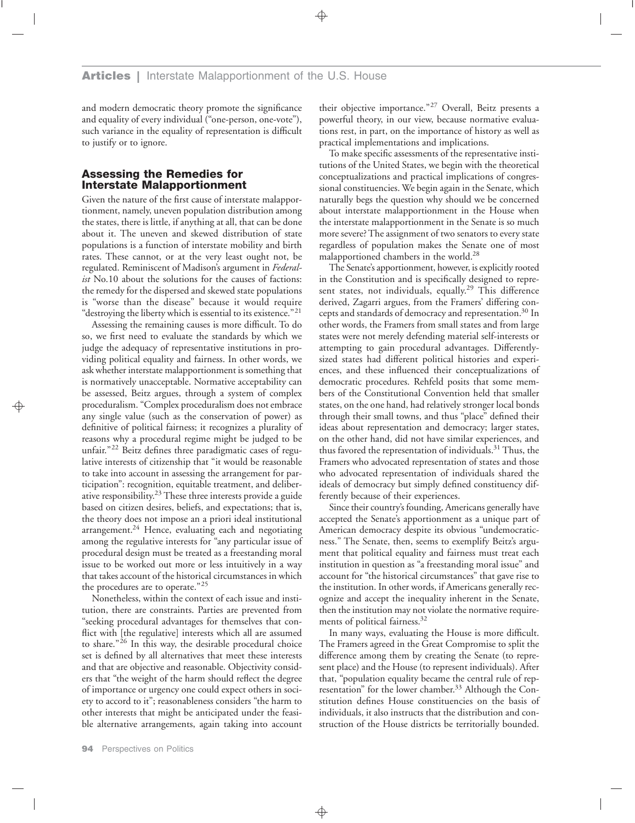and modern democratic theory promote the significance and equality of every individual ("one-person, one-vote"), such variance in the equality of representation is difficult to justify or to ignore.

#### **Assessing the Remedies for Interstate Malapportionment**

Given the nature of the first cause of interstate malapportionment, namely, uneven population distribution among the states, there is little, if anything at all, that can be done about it. The uneven and skewed distribution of state populations is a function of interstate mobility and birth rates. These cannot, or at the very least ought not, be regulated. Reminiscent of Madison's argument in *Federalist* No.10 about the solutions for the causes of factions: the remedy for the dispersed and skewed state populations is "worse than the disease" because it would require "destroying the liberty which is essential to its existence."<sup>21</sup>

Assessing the remaining causes is more difficult. To do so, we first need to evaluate the standards by which we judge the adequacy of representative institutions in providing political equality and fairness. In other words, we ask whether interstate malapportionment is something that is normatively unacceptable. Normative acceptability can be assessed, Beitz argues, through a system of complex proceduralism. "Complex proceduralism does not embrace any single value (such as the conservation of power) as definitive of political fairness; it recognizes a plurality of reasons why a procedural regime might be judged to be unfair."<sup>22</sup> Beitz defines three paradigmatic cases of regulative interests of citizenship that "it would be reasonable to take into account in assessing the arrangement for participation": recognition, equitable treatment, and deliberative responsibility.23 These three interests provide a guide based on citizen desires, beliefs, and expectations; that is, the theory does not impose an a priori ideal institutional arrangement. $^{24}$  Hence, evaluating each and negotiating among the regulative interests for "any particular issue of procedural design must be treated as a freestanding moral issue to be worked out more or less intuitively in a way that takes account of the historical circumstances in which the procedures are to operate."<sup>25</sup>

Nonetheless, within the context of each issue and institution, there are constraints. Parties are prevented from "seeking procedural advantages for themselves that conflict with [the regulative] interests which all are assumed to share."<sup>26</sup> In this way, the desirable procedural choice set is defined by all alternatives that meet these interests and that are objective and reasonable. Objectivity considers that "the weight of the harm should reflect the degree of importance or urgency one could expect others in society to accord to it"; reasonableness considers "the harm to other interests that might be anticipated under the feasible alternative arrangements, again taking into account their objective importance."<sup>27</sup> Overall, Beitz presents a powerful theory, in our view, because normative evaluations rest, in part, on the importance of history as well as practical implementations and implications.

To make specific assessments of the representative institutions of the United States, we begin with the theoretical conceptualizations and practical implications of congressional constituencies. We begin again in the Senate, which naturally begs the question why should we be concerned about interstate malapportionment in the House when the interstate malapportionment in the Senate is so much more severe? The assignment of two senators to every state regardless of population makes the Senate one of most malapportioned chambers in the world.<sup>28</sup>

The Senate's apportionment, however, is explicitly rooted in the Constitution and is specifically designed to represent states, not individuals, equally.<sup>29</sup> This difference derived, Zagarri argues, from the Framers' differing concepts and standards of democracy and representation.30 In other words, the Framers from small states and from large states were not merely defending material self-interests or attempting to gain procedural advantages. Differentlysized states had different political histories and experiences, and these influenced their conceptualizations of democratic procedures. Rehfeld posits that some members of the Constitutional Convention held that smaller states, on the one hand, had relatively stronger local bonds through their small towns, and thus "place" defined their ideas about representation and democracy; larger states, on the other hand, did not have similar experiences, and thus favored the representation of individuals.<sup>31</sup> Thus, the Framers who advocated representation of states and those who advocated representation of individuals shared the ideals of democracy but simply defined constituency differently because of their experiences.

Since their country's founding, Americans generally have accepted the Senate's apportionment as a unique part of American democracy despite its obvious "undemocraticness." The Senate, then, seems to exemplify Beitz's argument that political equality and fairness must treat each institution in question as "a freestanding moral issue" and account for "the historical circumstances" that gave rise to the institution. In other words, if Americans generally recognize and accept the inequality inherent in the Senate, then the institution may not violate the normative requirements of political fairness.<sup>32</sup>

In many ways, evaluating the House is more difficult. The Framers agreed in the Great Compromise to split the difference among them by creating the Senate (to represent place) and the House (to represent individuals). After that, "population equality became the central rule of representation" for the lower chamber.<sup>33</sup> Although the Constitution defines House constituencies on the basis of individuals, it also instructs that the distribution and construction of the House districts be territorially bounded.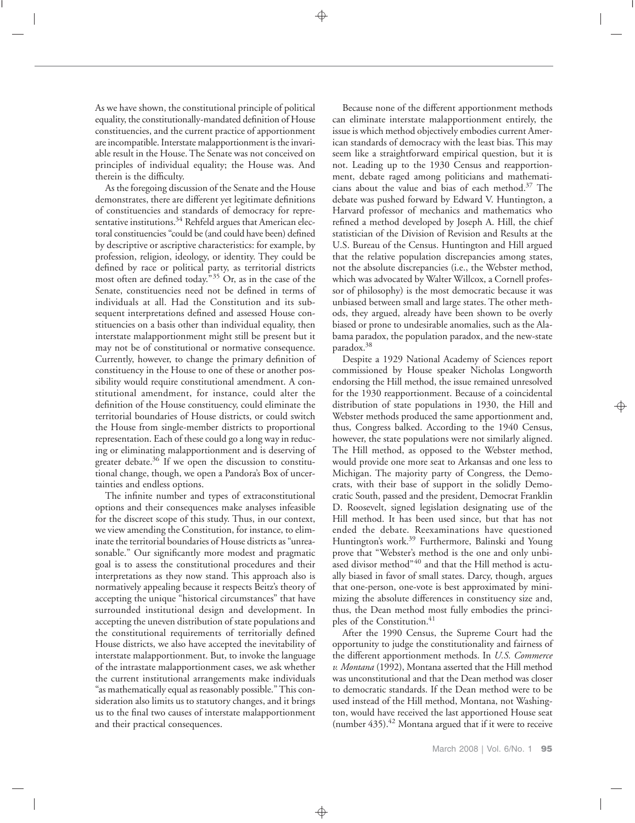As we have shown, the constitutional principle of political equality, the constitutionally-mandated definition of House constituencies, and the current practice of apportionment are incompatible. Interstate malapportionment is the invariable result in the House. The Senate was not conceived on principles of individual equality; the House was. And therein is the difficulty.

As the foregoing discussion of the Senate and the House demonstrates, there are different yet legitimate definitions of constituencies and standards of democracy for representative institutions.<sup>34</sup> Rehfeld argues that American electoral constituencies "could be (and could have been) defined by descriptive or ascriptive characteristics: for example, by profession, religion, ideology, or identity. They could be defined by race or political party, as territorial districts most often are defined today.<sup>"35</sup> Or, as in the case of the Senate, constituencies need not be defined in terms of individuals at all. Had the Constitution and its subsequent interpretations defined and assessed House constituencies on a basis other than individual equality, then interstate malapportionment might still be present but it may not be of constitutional or normative consequence. Currently, however, to change the primary definition of constituency in the House to one of these or another possibility would require constitutional amendment. A constitutional amendment, for instance, could alter the definition of the House constituency, could eliminate the territorial boundaries of House districts, or could switch the House from single-member districts to proportional representation. Each of these could go a long way in reducing or eliminating malapportionment and is deserving of greater debate.<sup>36</sup> If we open the discussion to constitutional change, though, we open a Pandora's Box of uncertainties and endless options.

The infinite number and types of extraconstitutional options and their consequences make analyses infeasible for the discreet scope of this study. Thus, in our context, we view amending the Constitution, for instance, to eliminate the territorial boundaries of House districts as "unreasonable." Our significantly more modest and pragmatic goal is to assess the constitutional procedures and their interpretations as they now stand. This approach also is normatively appealing because it respects Beitz's theory of accepting the unique "historical circumstances" that have surrounded institutional design and development. In accepting the uneven distribution of state populations and the constitutional requirements of territorially defined House districts, we also have accepted the inevitability of interstate malapportionment. But, to invoke the language of the intrastate malapportionment cases, we ask whether the current institutional arrangements make individuals "as mathematically equal as reasonably possible." This consideration also limits us to statutory changes, and it brings us to the final two causes of interstate malapportionment and their practical consequences.

Because none of the different apportionment methods can eliminate interstate malapportionment entirely, the issue is which method objectively embodies current American standards of democracy with the least bias. This may seem like a straightforward empirical question, but it is not. Leading up to the 1930 Census and reapportionment, debate raged among politicians and mathematicians about the value and bias of each method.37 The debate was pushed forward by Edward V. Huntington, a Harvard professor of mechanics and mathematics who refined a method developed by Joseph A. Hill, the chief statistician of the Division of Revision and Results at the U.S. Bureau of the Census. Huntington and Hill argued that the relative population discrepancies among states, not the absolute discrepancies (i.e., the Webster method, which was advocated by Walter Willcox, a Cornell professor of philosophy) is the most democratic because it was unbiased between small and large states. The other methods, they argued, already have been shown to be overly biased or prone to undesirable anomalies, such as the Alabama paradox, the population paradox, and the new-state paradox.38

Despite a 1929 National Academy of Sciences report commissioned by House speaker Nicholas Longworth endorsing the Hill method, the issue remained unresolved for the 1930 reapportionment. Because of a coincidental distribution of state populations in 1930, the Hill and Webster methods produced the same apportionment and, thus, Congress balked. According to the 1940 Census, however, the state populations were not similarly aligned. The Hill method, as opposed to the Webster method, would provide one more seat to Arkansas and one less to Michigan. The majority party of Congress, the Democrats, with their base of support in the solidly Democratic South, passed and the president, Democrat Franklin D. Roosevelt, signed legislation designating use of the Hill method. It has been used since, but that has not ended the debate. Reexaminations have questioned Huntington's work.<sup>39</sup> Furthermore, Balinski and Young prove that "Webster's method is the one and only unbiased divisor method"<sup>40</sup> and that the Hill method is actually biased in favor of small states. Darcy, though, argues that one-person, one-vote is best approximated by minimizing the absolute differences in constituency size and, thus, the Dean method most fully embodies the principles of the Constitution.<sup>41</sup>

After the 1990 Census, the Supreme Court had the opportunity to judge the constitutionality and fairness of the different apportionment methods. In *U.S. Commerce v. Montana* (1992), Montana asserted that the Hill method was unconstitutional and that the Dean method was closer to democratic standards. If the Dean method were to be used instead of the Hill method, Montana, not Washington, would have received the last apportioned House seat (number  $435$ ). $42$  Montana argued that if it were to receive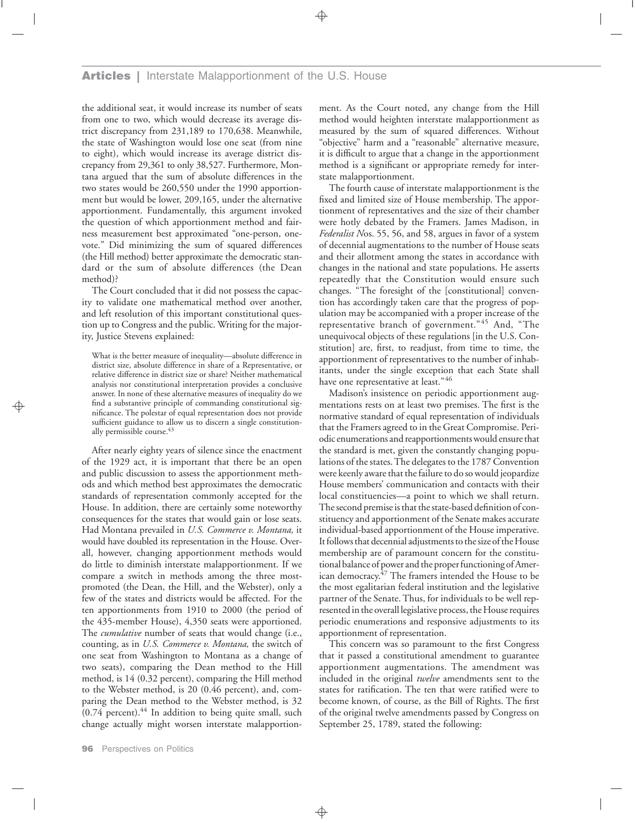the additional seat, it would increase its number of seats from one to two, which would decrease its average district discrepancy from 231,189 to 170,638. Meanwhile, the state of Washington would lose one seat (from nine to eight), which would increase its average district discrepancy from 29,361 to only 38,527. Furthermore, Montana argued that the sum of absolute differences in the two states would be 260,550 under the 1990 apportionment but would be lower, 209,165, under the alternative apportionment. Fundamentally, this argument invoked the question of which apportionment method and fairness measurement best approximated "one-person, onevote." Did minimizing the sum of squared differences (the Hill method) better approximate the democratic standard or the sum of absolute differences (the Dean method)?

The Court concluded that it did not possess the capacity to validate one mathematical method over another, and left resolution of this important constitutional question up to Congress and the public. Writing for the majority, Justice Stevens explained:

After nearly eighty years of silence since the enactment of the 1929 act, it is important that there be an open and public discussion to assess the apportionment methods and which method best approximates the democratic standards of representation commonly accepted for the House. In addition, there are certainly some noteworthy consequences for the states that would gain or lose seats. Had Montana prevailed in *U.S. Commerce v. Montana,* it would have doubled its representation in the House. Overall, however, changing apportionment methods would do little to diminish interstate malapportionment. If we compare a switch in methods among the three mostpromoted (the Dean, the Hill, and the Webster), only a few of the states and districts would be affected. For the ten apportionments from 1910 to 2000 (the period of the 435-member House), 4,350 seats were apportioned. The *cumulative* number of seats that would change (i.e., counting, as in *U.S. Commerce v. Montana,* the switch of one seat from Washington to Montana as a change of two seats), comparing the Dean method to the Hill method, is 14 (0.32 percent), comparing the Hill method to the Webster method, is 20 (0.46 percent), and, comparing the Dean method to the Webster method, is 32  $(0.74 \text{ percent})$ .<sup>44</sup> In addition to being quite small, such change actually might worsen interstate malapportionment. As the Court noted, any change from the Hill method would heighten interstate malapportionment as measured by the sum of squared differences. Without "objective" harm and a "reasonable" alternative measure, it is difficult to argue that a change in the apportionment method is a significant or appropriate remedy for interstate malapportionment.

The fourth cause of interstate malapportionment is the fixed and limited size of House membership. The apportionment of representatives and the size of their chamber were hotly debated by the Framers. James Madison, in *Federalist N*os. 55, 56, and 58, argues in favor of a system of decennial augmentations to the number of House seats and their allotment among the states in accordance with changes in the national and state populations. He asserts repeatedly that the Constitution would ensure such changes. "The foresight of the [constitutional] convention has accordingly taken care that the progress of population may be accompanied with a proper increase of the representative branch of government."<sup>45</sup> And, "The unequivocal objects of these regulations [in the U.S. Constitution] are, first, to readjust, from time to time, the apportionment of representatives to the number of inhabitants, under the single exception that each State shall have one representative at least."46

Madison's insistence on periodic apportionment augmentations rests on at least two premises. The first is the normative standard of equal representation of individuals that the Framers agreed to in the Great Compromise. Periodic enumerations and reapportionments would ensure that the standard is met, given the constantly changing populations of the states. The delegates to the 1787 Convention were keenly aware that the failure to do so would jeopardize House members' communication and contacts with their local constituencies—a point to which we shall return. The second premise is that the state-based definition of constituency and apportionment of the Senate makes accurate individual-based apportionment of the House imperative. It follows that decennial adjustments to the size of the House membership are of paramount concern for the constitutional balance of power and the properfunctioning of American democracy. $47$  The framers intended the House to be the most egalitarian federal institution and the legislative partner of the Senate. Thus, for individuals to be well represented in the overall legislative process, the House requires periodic enumerations and responsive adjustments to its apportionment of representation.

This concern was so paramount to the first Congress that it passed a constitutional amendment to guarantee apportionment augmentations. The amendment was included in the original *twelve* amendments sent to the states for ratification. The ten that were ratified were to become known, of course, as the Bill of Rights. The first of the original twelve amendments passed by Congress on September 25, 1789, stated the following:

What is the better measure of inequality—absolute difference in district size, absolute difference in share of a Representative, or relative difference in district size or share? Neither mathematical analysis nor constitutional interpretation provides a conclusive answer. In none of these alternative measures of inequality do we find a substantive principle of commanding constitutional significance. The polestar of equal representation does not provide sufficient guidance to allow us to discern a single constitutionally permissible course.<sup>43</sup>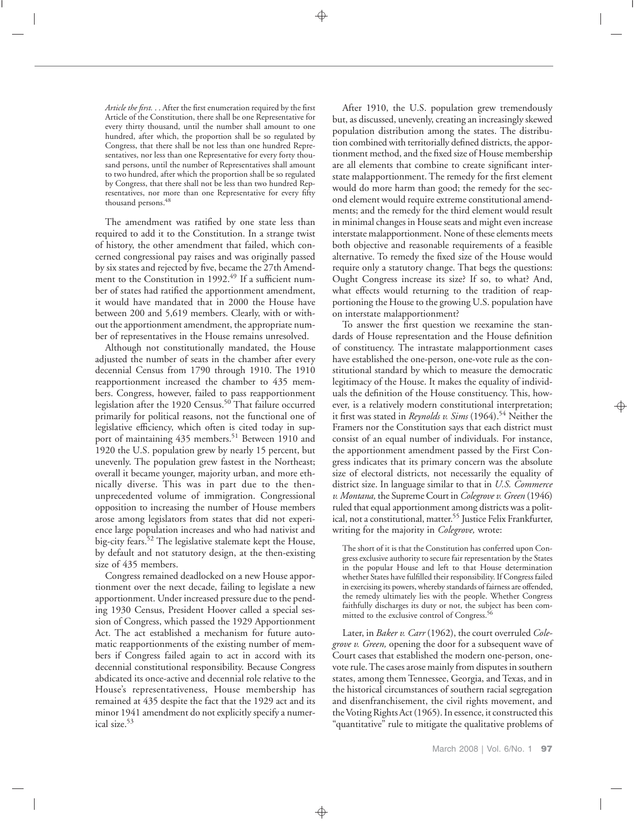*Article the first.* . . After the first enumeration required by the first Article of the Constitution, there shall be one Representative for every thirty thousand, until the number shall amount to one hundred, after which, the proportion shall be so regulated by Congress, that there shall be not less than one hundred Representatives, nor less than one Representative for every forty thousand persons, until the number of Representatives shall amount to two hundred, after which the proportion shall be so regulated by Congress, that there shall not be less than two hundred Representatives, nor more than one Representative for every fifty thousand persons.<sup>48</sup>

The amendment was ratified by one state less than required to add it to the Constitution. In a strange twist of history, the other amendment that failed, which concerned congressional pay raises and was originally passed by six states and rejected by five, became the 27th Amendment to the Constitution in 1992.<sup>49</sup> If a sufficient number of states had ratified the apportionment amendment, it would have mandated that in 2000 the House have between 200 and 5,619 members. Clearly, with or without the apportionment amendment, the appropriate number of representatives in the House remains unresolved.

Although not constitutionally mandated, the House adjusted the number of seats in the chamber after every decennial Census from 1790 through 1910. The 1910 reapportionment increased the chamber to 435 members. Congress, however, failed to pass reapportionment legislation after the 1920 Census.<sup>50</sup> That failure occurred primarily for political reasons, not the functional one of legislative efficiency, which often is cited today in support of maintaining 435 members.<sup>51</sup> Between 1910 and 1920 the U.S. population grew by nearly 15 percent, but unevenly. The population grew fastest in the Northeast; overall it became younger, majority urban, and more ethnically diverse. This was in part due to the thenunprecedented volume of immigration. Congressional opposition to increasing the number of House members arose among legislators from states that did not experience large population increases and who had nativist and big-city fears.52 The legislative stalemate kept the House, by default and not statutory design, at the then-existing size of 435 members.

Congress remained deadlocked on a new House apportionment over the next decade, failing to legislate a new apportionment. Under increased pressure due to the pending 1930 Census, President Hoover called a special session of Congress, which passed the 1929 Apportionment Act. The act established a mechanism for future automatic reapportionments of the existing number of members if Congress failed again to act in accord with its decennial constitutional responsibility. Because Congress abdicated its once-active and decennial role relative to the House's representativeness, House membership has remained at 435 despite the fact that the 1929 act and its minor 1941 amendment do not explicitly specify a numerical size.53

After 1910, the U.S. population grew tremendously but, as discussed, unevenly, creating an increasingly skewed population distribution among the states. The distribution combined with territorially defined districts, the apportionment method, and the fixed size of House membership are all elements that combine to create significant interstate malapportionment. The remedy for the first element would do more harm than good; the remedy for the second element would require extreme constitutional amendments; and the remedy for the third element would result in minimal changes in House seats and might even increase interstate malapportionment. None of these elements meets both objective and reasonable requirements of a feasible alternative. To remedy the fixed size of the House would require only a statutory change. That begs the questions: Ought Congress increase its size? If so, to what? And, what effects would returning to the tradition of reapportioning the House to the growing U.S. population have on interstate malapportionment?

To answer the first question we reexamine the standards of House representation and the House definition of constituency. The intrastate malapportionment cases have established the one-person, one-vote rule as the constitutional standard by which to measure the democratic legitimacy of the House. It makes the equality of individuals the definition of the House constituency. This, however, is a relatively modern constitutional interpretation; it first was stated in *Reynolds v. Sims* (1964).<sup>54</sup> Neither the Framers nor the Constitution says that each district must consist of an equal number of individuals. For instance, the apportionment amendment passed by the First Congress indicates that its primary concern was the absolute size of electoral districts, not necessarily the equality of district size. In language similar to that in *U.S. Commerce v. Montana,* the Supreme Court in *Colegrove v. Green* (1946) ruled that equal apportionment among districts was a political, not a constitutional, matter.<sup>55</sup> Justice Felix Frankfurter, writing for the majority in *Colegrove,* wrote:

The short of it is that the Constitution has conferred upon Congress exclusive authority to secure fair representation by the States in the popular House and left to that House determination whether States have fulfilled their responsibility. If Congress failed in exercising its powers, whereby standards of fairness are offended, the remedy ultimately lies with the people. Whether Congress faithfully discharges its duty or not, the subject has been committed to the exclusive control of Congress.<sup>56</sup>

Later, in *Baker v. Carr* (1962), the court overruled *Colegrove v. Green,* opening the door for a subsequent wave of Court cases that established the modern one-person, onevote rule.The cases arose mainly from disputes in southern states, among them Tennessee, Georgia, and Texas, and in the historical circumstances of southern racial segregation and disenfranchisement, the civil rights movement, and theVoting Rights Act (1965). In essence, it constructed this "quantitative" rule to mitigate the qualitative problems of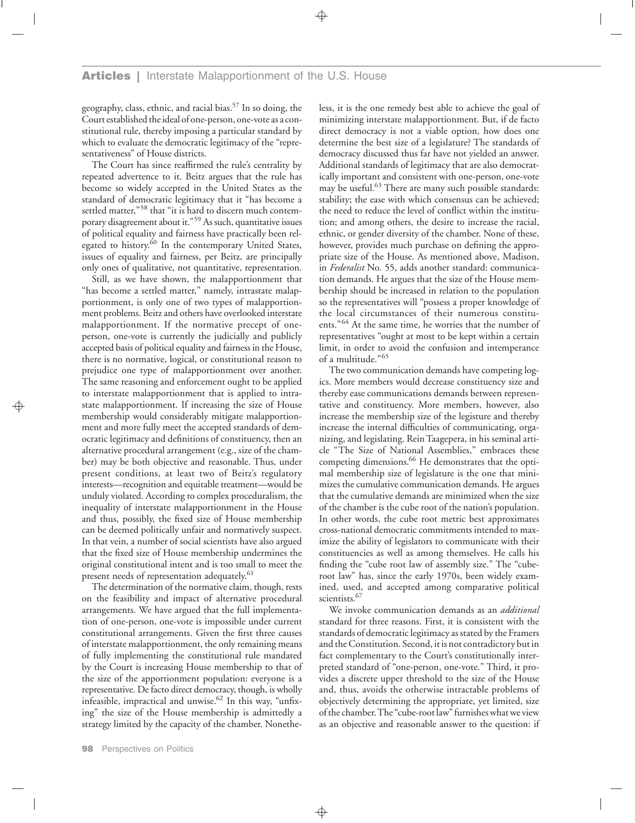geography, class, ethnic, and racial bias.<sup>57</sup> In so doing, the Court established the ideal of one-person, one-vote as a constitutional rule, thereby imposing a particular standard by which to evaluate the democratic legitimacy of the "representativeness" of House districts.

The Court has since reaffirmed the rule's centrality by repeated advertence to it. Beitz argues that the rule has become so widely accepted in the United States as the standard of democratic legitimacy that it "has become a settled matter,"<sup>58</sup> that "it is hard to discern much contemporary disagreement about it."<sup>59</sup> As such, quantitative issues of political equality and fairness have practically been relegated to history.<sup>60</sup> In the contemporary United States, issues of equality and fairness, per Beitz, are principally only ones of qualitative, not quantitative, representation.

Still, as we have shown, the malapportionment that "has become a settled matter," namely, intrastate malapportionment, is only one of two types of malapportionment problems. Beitz and others have overlooked interstate malapportionment. If the normative precept of oneperson, one-vote is currently the judicially and publicly accepted basis of political equality and fairness in the House, there is no normative, logical, or constitutional reason to prejudice one type of malapportionment over another. The same reasoning and enforcement ought to be applied to interstate malapportionment that is applied to intrastate malapportionment. If increasing the size of House membership would considerably mitigate malapportionment and more fully meet the accepted standards of democratic legitimacy and definitions of constituency, then an alternative procedural arrangement (e.g., size of the chamber) may be both objective and reasonable. Thus, under present conditions, at least two of Beitz's regulatory interests—recognition and equitable treatment—would be unduly violated. According to complex proceduralism, the inequality of interstate malapportionment in the House and thus, possibly, the fixed size of House membership can be deemed politically unfair and normatively suspect. In that vein, a number of social scientists have also argued that the fixed size of House membership undermines the original constitutional intent and is too small to meet the present needs of representation adequately.<sup>61</sup>

The determination of the normative claim, though, rests on the feasibility and impact of alternative procedural arrangements. We have argued that the full implementation of one-person, one-vote is impossible under current constitutional arrangements. Given the first three causes of interstate malapportionment, the only remaining means of fully implementing the constitutional rule mandated by the Court is increasing House membership to that of the size of the apportionment population: everyone is a representative. De facto direct democracy, though, is wholly infeasible, impractical and unwise. $62$  In this way, "unfixing" the size of the House membership is admittedly a strategy limited by the capacity of the chamber. Nonetheless, it is the one remedy best able to achieve the goal of minimizing interstate malapportionment. But, if de facto direct democracy is not a viable option, how does one determine the best size of a legislature? The standards of democracy discussed thus far have not yielded an answer. Additional standards of legitimacy that are also democratically important and consistent with one-person, one-vote may be useful.<sup>63</sup> There are many such possible standards: stability; the ease with which consensus can be achieved; the need to reduce the level of conflict within the institution; and among others, the desire to increase the racial, ethnic, or gender diversity of the chamber. None of these, however, provides much purchase on defining the appropriate size of the House. As mentioned above, Madison, in *Federalist* No. 55, adds another standard: communication demands. He argues that the size of the House membership should be increased in relation to the population so the representatives will "possess a proper knowledge of the local circumstances of their numerous constituents."<sup>64</sup> At the same time, he worries that the number of representatives "ought at most to be kept within a certain limit, in order to avoid the confusion and intemperance of a multitude."<sup>65</sup>

The two communication demands have competing logics. More members would decrease constituency size and thereby ease communications demands between representative and constituency. More members, however, also increase the membership size of the legisture and thereby increase the internal difficulties of communicating, organizing, and legislating. Rein Taagepera, in his seminal article "The Size of National Assemblies," embraces these competing dimensions.<sup>66</sup> He demonstrates that the optimal membership size of legislature is the one that minimizes the cumulative communication demands. He argues that the cumulative demands are minimized when the size of the chamber is the cube root of the nation's population. In other words, the cube root metric best approximates cross-national democratic commitments intended to maximize the ability of legislators to communicate with their constituencies as well as among themselves. He calls his finding the "cube root law of assembly size." The "cuberoot law" has, since the early 1970s, been widely examined, used, and accepted among comparative political scientists.<sup>67</sup>

We invoke communication demands as an *additional* standard for three reasons. First, it is consistent with the standards of democratic legitimacy as stated by the Framers and the Constitution. Second, it is not contradictory but in fact complementary to the Court's constitutionally interpreted standard of "one-person, one-vote." Third, it provides a discrete upper threshold to the size of the House and, thus, avoids the otherwise intractable problems of objectively determining the appropriate, yet limited, size of the chamber.The "cube-root law"furnishes what we view as an objective and reasonable answer to the question: if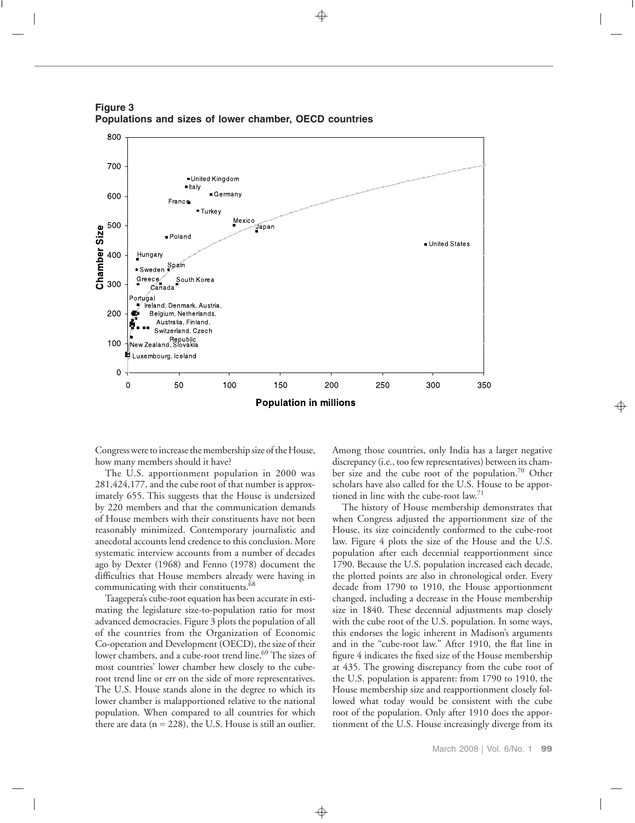

**Figure 3 Populations and sizes of lower chamber, OECD countries**

Congress were to increase the membership size of the House, how many members should it have?

The U.S. apportionment population in 2000 was 281,424,177, and the cube root of that number is approximately 655. This suggests that the House is undersized by 220 members and that the communication demands of House members with their constituents have not been reasonably minimized. Contemporary journalistic and anecdotal accounts lend credence to this conclusion. More systematic interview accounts from a number of decades ago by Dexter (1968) and Fenno (1978) document the difficulties that House members already were having in communicating with their constituents.<sup>68</sup>

Taagepera's cube-root equation has been accurate in estimating the legislature size-to-population ratio for most advanced democracies. Figure 3 plots the population of all of the countries from the Organization of Economic Co-operation and Development (OECD), the size of their lower chambers, and a cube-root trend line.<sup>69</sup> The sizes of most countries' lower chamber hew closely to the cuberoot trend line or err on the side of more representatives. The U.S. House stands alone in the degree to which its lower chamber is malapportioned relative to the national population. When compared to all countries for which there are data ( $n = 228$ ), the U.S. House is still an outlier.

Among those countries, only India has a larger negative discrepancy (i.e., too few representatives) between its chamber size and the cube root of the population.70 Other scholars have also called for the U.S. House to be apportioned in line with the cube-root law.<sup>71</sup>

The history of House membership demonstrates that when Congress adjusted the apportionment size of the House, its size coincidently conformed to the cube-root law. Figure 4 plots the size of the House and the U.S. population after each decennial reapportionment since 1790. Because the U.S. population increased each decade, the plotted points are also in chronological order. Every decade from 1790 to 1910, the House apportionment changed, including a decrease in the House membership size in 1840. These decennial adjustments map closely with the cube root of the U.S. population. In some ways, this endorses the logic inherent in Madison's arguments and in the "cube-root law." After 1910, the flat line in figure 4 indicates the fixed size of the House membership at 435. The growing discrepancy from the cube root of the U.S. population is apparent: from 1790 to 1910, the House membership size and reapportionment closely followed what today would be consistent with the cube root of the population. Only after 1910 does the apportionment of the U.S. House increasingly diverge from its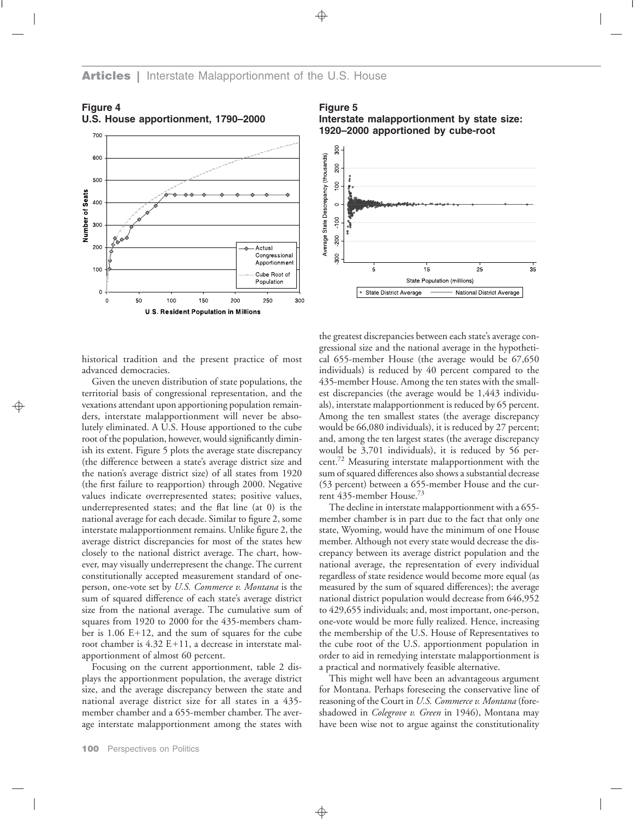# **Figure 4**



#### **Figure 5 Interstate malapportionment by state size: 1920–2000 apportioned by cube-root**



historical tradition and the present practice of most advanced democracies.

Given the uneven distribution of state populations, the territorial basis of congressional representation, and the vexations attendant upon apportioning population remainders, interstate malapportionment will never be absolutely eliminated. A U.S. House apportioned to the cube root of the population, however, would significantly diminish its extent. Figure 5 plots the average state discrepancy (the difference between a state's average district size and the nation's average district size) of all states from 1920 (the first failure to reapportion) through 2000. Negative values indicate overrepresented states; positive values, underrepresented states; and the flat line (at 0) is the national average for each decade. Similar to figure 2, some interstate malapportionment remains. Unlike figure 2, the average district discrepancies for most of the states hew closely to the national district average. The chart, however, may visually underrepresent the change. The current constitutionally accepted measurement standard of oneperson, one-vote set by *U.S. Commerce v. Montana* is the sum of squared difference of each state's average district size from the national average. The cumulative sum of squares from 1920 to 2000 for the 435-members chamber is 1.06 E-12, and the sum of squares for the cube root chamber is 4.32 E-11, a decrease in interstate malapportionment of almost 60 percent.

Focusing on the current apportionment, table 2 displays the apportionment population, the average district size, and the average discrepancy between the state and national average district size for all states in a 435 member chamber and a 655-member chamber. The average interstate malapportionment among the states with the greatest discrepancies between each state's average congressional size and the national average in the hypothetical 655-member House (the average would be 67,650 individuals) is reduced by 40 percent compared to the 435-member House. Among the ten states with the smallest discrepancies (the average would be 1,443 individuals), interstate malapportionment is reduced by 65 percent. Among the ten smallest states (the average discrepancy would be 66,080 individuals), it is reduced by 27 percent; and, among the ten largest states (the average discrepancy would be 3,701 individuals), it is reduced by 56 percent.72 Measuring interstate malapportionment with the sum of squared differences also shows a substantial decrease (53 percent) between a 655-member House and the current 435-member House.73

The decline in interstate malapportionment with a 655 member chamber is in part due to the fact that only one state, Wyoming, would have the minimum of one House member. Although not every state would decrease the discrepancy between its average district population and the national average, the representation of every individual regardless of state residence would become more equal (as measured by the sum of squared differences); the average national district population would decrease from 646,952 to 429,655 individuals; and, most important, one-person, one-vote would be more fully realized. Hence, increasing the membership of the U.S. House of Representatives to the cube root of the U.S. apportionment population in order to aid in remedying interstate malapportionment is a practical and normatively feasible alternative.

This might well have been an advantageous argument for Montana. Perhaps foreseeing the conservative line of reasoning of the Court in *U.S. Commerce v. Montana* (foreshadowed in *Colegrove v. Green* in 1946), Montana may have been wise not to argue against the constitutionality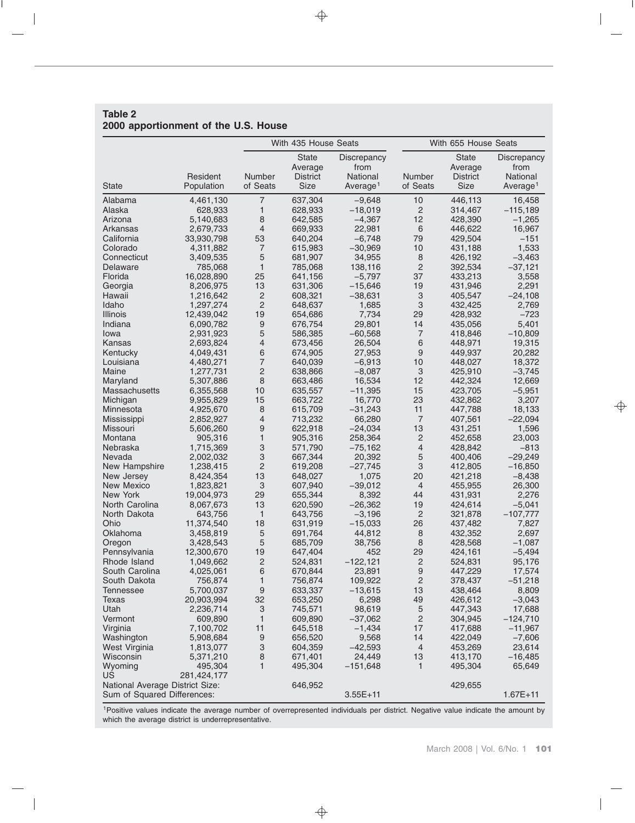### **Table 2 2000 apportionment of the U.S. House**

|                                 |                        | With 435 House Seats |                                                    |                                                         |                           | With 655 House Seats                                      |                                                         |  |  |
|---------------------------------|------------------------|----------------------|----------------------------------------------------|---------------------------------------------------------|---------------------------|-----------------------------------------------------------|---------------------------------------------------------|--|--|
| State                           | Resident<br>Population | Number<br>of Seats   | <b>State</b><br>Average<br><b>District</b><br>Size | Discrepancy<br>from<br>National<br>Average <sup>1</sup> | <b>Number</b><br>of Seats | <b>State</b><br>Average<br><b>District</b><br><b>Size</b> | Discrepancy<br>from<br>National<br>Average <sup>1</sup> |  |  |
| Alabama                         | 4,461,130              | $\overline{7}$       | 637,304                                            | $-9,648$                                                | 10                        | 446,113                                                   | 16,458                                                  |  |  |
| Alaska                          | 628,933                | 1                    | 628,933                                            | $-18,019$                                               | $\sqrt{2}$                | 314,467                                                   | $-115,189$                                              |  |  |
| Arizona                         | 5,140,683              | 8                    | 642,585                                            | $-4,367$                                                | 12                        | 428,390                                                   | $-1,265$                                                |  |  |
| Arkansas                        | 2,679,733              | 4                    | 669,933                                            | 22,981                                                  | 6                         | 446,622                                                   | 16,967                                                  |  |  |
| California                      | 33,930,798             | 53                   | 640,204                                            | $-6,748$                                                | 79                        | 429,504                                                   | $-151$                                                  |  |  |
| Colorado                        | 4,311,882              | $\overline{7}$       | 615,983                                            | $-30,969$                                               | 10                        | 431,188                                                   | 1,533                                                   |  |  |
| Connecticut                     | 3,409,535              | 5                    | 681,907                                            | 34,955                                                  | 8                         | 426,192                                                   | $-3,463$                                                |  |  |
| Delaware                        | 785,068                | 1                    | 785,068                                            | 138,116                                                 | $\overline{c}$            | 392,534                                                   | $-37,121$                                               |  |  |
| Florida                         | 16,028,890             | 25                   | 641,156                                            | $-5,797$                                                | 37                        | 433,213                                                   | 3,558                                                   |  |  |
| Georgia                         | 8,206,975              | 13                   | 631,306                                            | $-15,646$                                               | 19                        | 431,946                                                   | 2,291                                                   |  |  |
| Hawaii                          | 1,216,642              | 2                    | 608,321                                            | $-38,631$                                               | 3                         | 405,547                                                   | $-24,108$                                               |  |  |
| Idaho                           | 1,297,274              | $\overline{c}$       | 648,637                                            | 1,685                                                   | 3                         | 432,425                                                   | 2,769                                                   |  |  |
| Illinois                        | 12,439,042             | 19                   | 654,686                                            | 7,734                                                   | 29                        | 428,932                                                   | $-723$                                                  |  |  |
| Indiana                         | 6,090,782              | 9                    | 676,754                                            | 29,801                                                  | 14                        | 435,056                                                   | 5,401                                                   |  |  |
| lowa                            | 2,931,923              | 5                    | 586,385                                            | $-60,568$                                               | $\overline{7}$            | 418,846                                                   | $-10,809$                                               |  |  |
| Kansas                          | 2,693,824              | 4                    | 673,456                                            | 26,504                                                  | 6                         | 448.971                                                   | 19,315                                                  |  |  |
| Kentucky                        | 4,049,431              | 6                    | 674,905                                            | 27,953                                                  | $\boldsymbol{9}$          | 449,937                                                   | 20,282                                                  |  |  |
| Louisiana                       | 4,480,271              | $\overline{7}$       | 640,039                                            | $-6,913$                                                | 10                        | 448,027                                                   | 18,372                                                  |  |  |
| Maine                           | 1,277,731              | $\overline{c}$       | 638,866                                            | $-8,087$                                                | $\ensuremath{\mathsf{3}}$ | 425,910                                                   | $-3,745$                                                |  |  |
| Maryland                        | 5,307,886              | 8                    | 663,486                                            | 16,534                                                  | 12                        | 442,324                                                   | 12,669                                                  |  |  |
| Massachusetts                   | 6,355,568              | 10                   | 635,557                                            | $-11,395$                                               | 15                        | 423,705                                                   | $-5,951$                                                |  |  |
| Michigan                        | 9,955,829              | 15                   | 663,722                                            | 16,770                                                  | 23                        | 432,862                                                   | 3,207                                                   |  |  |
| Minnesota                       | 4,925,670              | 8                    | 615,709                                            | $-31,243$                                               | 11                        | 447,788                                                   | 18,133                                                  |  |  |
| Mississippi<br>Missouri         | 2,852,927<br>5,606,260 | 4<br>9               | 713,232<br>622,918                                 | 66,280<br>$-24,034$                                     | $\overline{7}$<br>13      | 407,561<br>431,251                                        | $-22,094$<br>1,596                                      |  |  |
| Montana                         | 905,316                | 1                    | 905,316                                            | 258,364                                                 | $\sqrt{2}$                | 452,658                                                   | 23,003                                                  |  |  |
| Nebraska                        | 1,715,369              | 3                    | 571,790                                            | $-75,162$                                               | $\overline{4}$            | 428,842                                                   | $-813$                                                  |  |  |
| Nevada                          | 2,002,032              | 3                    | 667,344                                            | 20,392                                                  | 5                         | 400,406                                                   | $-29,249$                                               |  |  |
| New Hampshire                   | 1,238,415              | $\sqrt{2}$           | 619,208                                            | $-27,745$                                               | 3                         | 412,805                                                   | $-16,850$                                               |  |  |
| New Jersey                      | 8,424,354              | 13                   | 648,027                                            | 1,075                                                   | 20                        | 421,218                                                   | $-8,438$                                                |  |  |
| New Mexico                      | 1,823,821              | 3                    | 607,940                                            | $-39,012$                                               | $\overline{4}$            | 455,955                                                   | 26,300                                                  |  |  |
| New York                        | 19,004,973             | 29                   | 655,344                                            | 8,392                                                   | 44                        | 431,931                                                   | 2,276                                                   |  |  |
| North Carolina                  | 8,067,673              | 13                   | 620,590                                            | $-26,362$                                               | 19                        | 424,614                                                   | $-5,041$                                                |  |  |
| North Dakota                    | 643,756                | 1                    | 643,756                                            | $-3,196$                                                | $\overline{c}$            | 321,878                                                   | $-107,777$                                              |  |  |
| Ohio                            | 11,374,540             | 18                   | 631,919                                            | $-15,033$                                               | 26                        | 437,482                                                   | 7,827                                                   |  |  |
| Oklahoma                        | 3,458,819              | 5                    | 691,764                                            | 44,812                                                  | 8                         | 432,352                                                   | 2,697                                                   |  |  |
| Oregon                          | 3,428,543              | 5                    | 685,709                                            | 38,756                                                  | 8                         | 428,568                                                   | $-1,087$                                                |  |  |
| Pennsylvania                    | 12,300,670             | 19                   | 647,404                                            | 452                                                     | 29                        | 424,161                                                   | $-5,494$                                                |  |  |
| Rhode Island                    | 1,049,662              | $\overline{c}$       | 524,831                                            | $-122,121$                                              | 2                         | 524,831                                                   | 95,176                                                  |  |  |
| South Carolina                  | 4,025,061              | 6                    | 670,844                                            | 23,891                                                  | 9                         | 447,229                                                   | 17,574                                                  |  |  |
| South Dakota                    | 756,874                | 1                    | 756,874                                            | 109,922                                                 | $\sqrt{2}$                | 378,437                                                   | $-51,218$                                               |  |  |
| <b>Tennessee</b>                | 5,700,037              | 9                    | 633,337                                            | $-13,615$                                               | 13                        | 438,464                                                   | 8,809                                                   |  |  |
| <b>Texas</b>                    | 20,903,994             | 32                   | 653,250                                            | 6,298                                                   | 49                        | 426,612                                                   | $-3,043$                                                |  |  |
| Utah                            | 2,236,714              | 3                    | 745,571                                            | 98,619                                                  | 5                         | 447,343                                                   | 17,688                                                  |  |  |
| Vermont                         | 609,890                | 1                    | 609,890                                            | $-37,062$                                               | 2                         | 304,945                                                   | $-124,710$                                              |  |  |
| Virginia                        | 7,100,702              | 11                   | 645,518                                            | $-1,434$                                                | 17                        | 417,688                                                   | $-11,967$                                               |  |  |
| Washington                      | 5,908,684              | 9                    | 656,520                                            | 9,568                                                   | 14                        | 422,049                                                   | $-7,606$                                                |  |  |
| West Virginia                   | 1,813,077              | З                    | 604,359                                            | $-42,593$                                               | $\overline{4}$            | 453,269                                                   | 23,614                                                  |  |  |
| Wisconsin                       | 5,371,210              | 8                    | 671,401                                            | 24,449                                                  | 13                        | 413,170                                                   | $-16,485$                                               |  |  |
| Wyoming                         | 495,304                | 1                    | 495,304                                            | $-151,648$                                              | 1                         | 495,304                                                   | 65,649                                                  |  |  |
| US                              | 281,424,177            |                      |                                                    |                                                         |                           |                                                           |                                                         |  |  |
| National Average District Size: |                        |                      | 646,952                                            |                                                         |                           | 429,655                                                   |                                                         |  |  |
| Sum of Squared Differences:     |                        |                      |                                                    | $3.55E+11$                                              |                           |                                                           | $1.67E + 11$                                            |  |  |

1Positive values indicate the average number of overrepresented individuals per district. Negative value indicate the amount by which the average district is underrepresentative.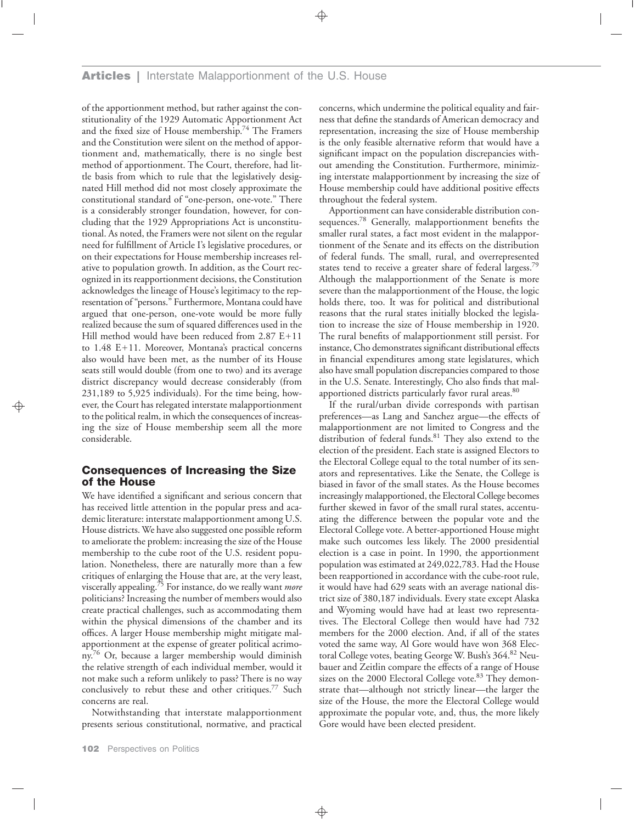of the apportionment method, but rather against the constitutionality of the 1929 Automatic Apportionment Act and the fixed size of House membership.<sup>74</sup> The Framers and the Constitution were silent on the method of apportionment and, mathematically, there is no single best method of apportionment. The Court, therefore, had little basis from which to rule that the legislatively designated Hill method did not most closely approximate the constitutional standard of "one-person, one-vote." There is a considerably stronger foundation, however, for concluding that the 1929 Appropriations Act is unconstitutional. As noted, the Framers were not silent on the regular need for fulfillment of Article I's legislative procedures, or on their expectations for House membership increases relative to population growth. In addition, as the Court recognized in its reapportionment decisions, the Constitution acknowledges the lineage of House's legitimacy to the representation of "persons." Furthermore, Montana could have argued that one-person, one-vote would be more fully realized because the sum of squared differences used in the Hill method would have been reduced from 2.87 E+11 to 1.48 E-11. Moreover, Montana's practical concerns also would have been met, as the number of its House seats still would double (from one to two) and its average district discrepancy would decrease considerably (from 231,189 to 5,925 individuals). For the time being, however, the Court has relegated interstate malapportionment to the political realm, in which the consequences of increasing the size of House membership seem all the more considerable.

# **Consequences of Increasing the Size of the House**

We have identified a significant and serious concern that has received little attention in the popular press and academic literature: interstate malapportionment among U.S. House districts. We have also suggested one possible reform to ameliorate the problem: increasing the size of the House membership to the cube root of the U.S. resident population. Nonetheless, there are naturally more than a few critiques of enlarging the House that are, at the very least, viscerally appealing.75 For instance, do we really want *more* politicians? Increasing the number of members would also create practical challenges, such as accommodating them within the physical dimensions of the chamber and its offices. A larger House membership might mitigate malapportionment at the expense of greater political acrimony.<sup>76</sup> Or, because a larger membership would diminish the relative strength of each individual member, would it not make such a reform unlikely to pass? There is no way conclusively to rebut these and other critiques.<sup>77</sup> Such concerns are real.

Notwithstanding that interstate malapportionment presents serious constitutional, normative, and practical

**102** Perspectives on Politics

concerns, which undermine the political equality and fairness that define the standards of American democracy and representation, increasing the size of House membership is the only feasible alternative reform that would have a significant impact on the population discrepancies without amending the Constitution. Furthermore, minimizing interstate malapportionment by increasing the size of House membership could have additional positive effects throughout the federal system.

Apportionment can have considerable distribution consequences.78 Generally, malapportionment benefits the smaller rural states, a fact most evident in the malapportionment of the Senate and its effects on the distribution of federal funds. The small, rural, and overrepresented states tend to receive a greater share of federal largess.<sup>79</sup> Although the malapportionment of the Senate is more severe than the malapportionment of the House, the logic holds there, too. It was for political and distributional reasons that the rural states initially blocked the legislation to increase the size of House membership in 1920. The rural benefits of malapportionment still persist. For instance, Cho demonstrates significant distributional effects in financial expenditures among state legislatures, which also have small population discrepancies compared to those in the U.S. Senate. Interestingly, Cho also finds that malapportioned districts particularly favor rural areas.<sup>80</sup>

If the rural/urban divide corresponds with partisan preferences—as Lang and Sanchez argue—the effects of malapportionment are not limited to Congress and the distribution of federal funds.<sup>81</sup> They also extend to the election of the president. Each state is assigned Electors to the Electoral College equal to the total number of its senators and representatives. Like the Senate, the College is biased in favor of the small states. As the House becomes increasingly malapportioned, the Electoral College becomes further skewed in favor of the small rural states, accentuating the difference between the popular vote and the Electoral College vote. A better-apportioned House might make such outcomes less likely. The 2000 presidential election is a case in point. In 1990, the apportionment population was estimated at 249,022,783. Had the House been reapportioned in accordance with the cube-root rule, it would have had 629 seats with an average national district size of 380,187 individuals. Every state except Alaska and Wyoming would have had at least two representatives. The Electoral College then would have had 732 members for the 2000 election. And, if all of the states voted the same way, Al Gore would have won 368 Electoral College votes, beating George W. Bush's 364.82 Neubauer and Zeitlin compare the effects of a range of House sizes on the 2000 Electoral College vote.<sup>83</sup> They demonstrate that—although not strictly linear—the larger the size of the House, the more the Electoral College would approximate the popular vote, and, thus, the more likely Gore would have been elected president.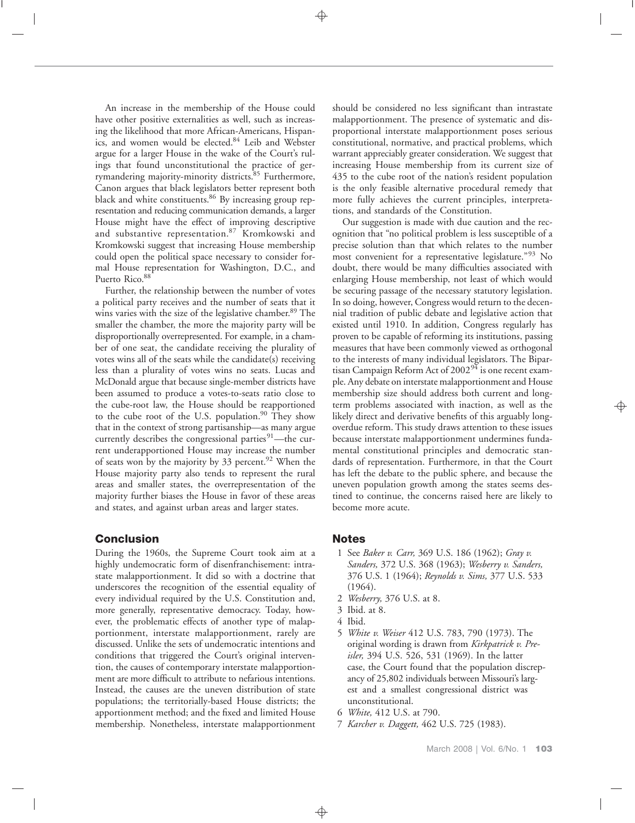An increase in the membership of the House could have other positive externalities as well, such as increasing the likelihood that more African-Americans, Hispanics, and women would be elected.<sup>84</sup> Leib and Webster argue for a larger House in the wake of the Court's rulings that found unconstitutional the practice of gerrymandering majority-minority districts.<sup>85</sup> Furthermore, Canon argues that black legislators better represent both black and white constituents.<sup>86</sup> By increasing group representation and reducing communication demands, a larger House might have the effect of improving descriptive and substantive representation.<sup>87</sup> Kromkowski and Kromkowski suggest that increasing House membership could open the political space necessary to consider formal House representation for Washington, D.C., and Puerto Rico.<sup>88</sup>

Further, the relationship between the number of votes a political party receives and the number of seats that it wins varies with the size of the legislative chamber.<sup>89</sup> The smaller the chamber, the more the majority party will be disproportionally overrepresented. For example, in a chamber of one seat, the candidate receiving the plurality of votes wins all of the seats while the candidate(s) receiving less than a plurality of votes wins no seats. Lucas and McDonald argue that because single-member districts have been assumed to produce a votes-to-seats ratio close to the cube-root law, the House should be reapportioned to the cube root of the U.S. population.<sup>90</sup> They show that in the context of strong partisanship—as many argue currently describes the congressional parties $91$ —the current underapportioned House may increase the number of seats won by the majority by 33 percent.<sup>92</sup> When the House majority party also tends to represent the rural areas and smaller states, the overrepresentation of the majority further biases the House in favor of these areas and states, and against urban areas and larger states.

#### **Conclusion**

During the 1960s, the Supreme Court took aim at a highly undemocratic form of disenfranchisement: intrastate malapportionment. It did so with a doctrine that underscores the recognition of the essential equality of every individual required by the U.S. Constitution and, more generally, representative democracy. Today, however, the problematic effects of another type of malapportionment, interstate malapportionment, rarely are discussed. Unlike the sets of undemocratic intentions and conditions that triggered the Court's original intervention, the causes of contemporary interstate malapportionment are more difficult to attribute to nefarious intentions. Instead, the causes are the uneven distribution of state populations; the territorially-based House districts; the apportionment method; and the fixed and limited House membership. Nonetheless, interstate malapportionment

should be considered no less significant than intrastate malapportionment. The presence of systematic and disproportional interstate malapportionment poses serious constitutional, normative, and practical problems, which warrant appreciably greater consideration. We suggest that increasing House membership from its current size of 435 to the cube root of the nation's resident population is the only feasible alternative procedural remedy that more fully achieves the current principles, interpretations, and standards of the Constitution.

Our suggestion is made with due caution and the recognition that "no political problem is less susceptible of a precise solution than that which relates to the number most convenient for a representative legislature."<sup>93</sup> No doubt, there would be many difficulties associated with enlarging House membership, not least of which would be securing passage of the necessary statutory legislation. In so doing, however, Congress would return to the decennial tradition of public debate and legislative action that existed until 1910. In addition, Congress regularly has proven to be capable of reforming its institutions, passing measures that have been commonly viewed as orthogonal to the interests of many individual legislators. The Bipartisan Campaign Reform Act of  $2002^{94}$  is one recent example. Any debate on interstate malapportionment and House membership size should address both current and longterm problems associated with inaction, as well as the likely direct and derivative benefits of this arguably longoverdue reform. This study draws attention to these issues because interstate malapportionment undermines fundamental constitutional principles and democratic standards of representation. Furthermore, in that the Court has left the debate to the public sphere, and because the uneven population growth among the states seems destined to continue, the concerns raised here are likely to become more acute.

#### **Notes**

- 1 See *Baker v. Carr,* 369 U.S. 186 (1962); *Gray v. Sanders,* 372 U.S. 368 (1963); *Wesberry v. Sanders,* 376 U.S. 1 (1964); *Reynolds v. Sims,* 377 U.S. 533 (1964).
- 2 *Wesberry,* 376 U.S. at 8.
- 3 Ibid. at 8.
- 4 Ibid.
- 5 *White v. Weiser* 412 U.S. 783, 790 (1973). The original wording is drawn from *Kirkpatrick v. Preisler,* 394 U.S. 526, 531 (1969). In the latter case, the Court found that the population discrepancy of 25,802 individuals between Missouri's largest and a smallest congressional district was unconstitutional.
- 6 *White,* 412 U.S. at 790.
- 7 *Karcher v. Daggett,* 462 U.S. 725 (1983).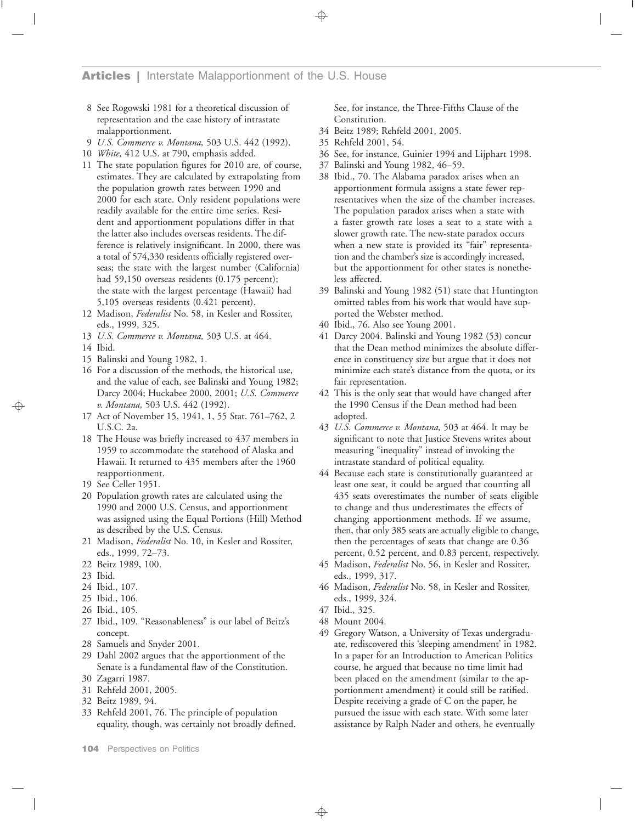- 8 See Rogowski 1981 for a theoretical discussion of representation and the case history of intrastate malapportionment.
- 9 *U.S. Commerce v. Montana,* 503 U.S. 442 (1992).
- 10 *White,* 412 U.S. at 790, emphasis added.
- 11 The state population figures for 2010 are, of course, estimates. They are calculated by extrapolating from the population growth rates between 1990 and 2000 for each state. Only resident populations were readily available for the entire time series. Resident and apportionment populations differ in that the latter also includes overseas residents. The difference is relatively insignificant. In 2000, there was a total of 574,330 residents officially registered overseas; the state with the largest number (California) had 59,150 overseas residents (0.175 percent); the state with the largest percentage (Hawaii) had 5,105 overseas residents (0.421 percent).
- 12 Madison, *Federalist* No. 58, in Kesler and Rossiter, eds., 1999, 325.
- 13 *U.S. Commerce v. Montana,* 503 U.S. at 464.
- 14 Ibid.
- 15 Balinski and Young 1982, 1.
- 16 For a discussion of the methods, the historical use, and the value of each, see Balinski and Young 1982; Darcy 2004; Huckabee 2000, 2001; *U.S. Commerce v. Montana,* 503 U.S. 442 (1992).
- 17 Act of November 15, 1941, 1, 55 Stat. 761–762, 2 U.S.C. 2a.
- 18 The House was briefly increased to 437 members in 1959 to accommodate the statehood of Alaska and Hawaii. It returned to 435 members after the 1960 reapportionment.
- 19 See Celler 1951.
- 20 Population growth rates are calculated using the 1990 and 2000 U.S. Census, and apportionment was assigned using the Equal Portions (Hill) Method as described by the U.S. Census.
- 21 Madison, *Federalist* No. 10, in Kesler and Rossiter, eds., 1999, 72–73.
- 22 Beitz 1989, 100.
- 23 Ibid.
- 24 Ibid., 107.
- 25 Ibid., 106.
- 26 Ibid., 105.
- 27 Ibid., 109. "Reasonableness" is our label of Beitz's concept.
- 28 Samuels and Snyder 2001.
- 29 Dahl 2002 argues that the apportionment of the Senate is a fundamental flaw of the Constitution.
- 30 Zagarri 1987.
- 31 Rehfeld 2001, 2005.
- 32 Beitz 1989, 94.
- 33 Rehfeld 2001, 76. The principle of population equality, though, was certainly not broadly defined.

See, for instance, the Three-Fifths Clause of the Constitution.

- 34 Beitz 1989; Rehfeld 2001, 2005.
- 35 Rehfeld 2001, 54.
- 36 See, for instance, Guinier 1994 and Lijphart 1998.
- 37 Balinski and Young 1982, 46–59.
- 38 Ibid., 70. The Alabama paradox arises when an apportionment formula assigns a state fewer representatives when the size of the chamber increases. The population paradox arises when a state with a faster growth rate loses a seat to a state with a slower growth rate. The new-state paradox occurs when a new state is provided its "fair" representation and the chamber's size is accordingly increased, but the apportionment for other states is nonetheless affected.
- 39 Balinski and Young 1982 (51) state that Huntington omitted tables from his work that would have supported the Webster method.
- 40 Ibid., 76. Also see Young 2001.
- 41 Darcy 2004. Balinski and Young 1982 (53) concur that the Dean method minimizes the absolute difference in constituency size but argue that it does not minimize each state's distance from the quota, or its fair representation.
- 42 This is the only seat that would have changed after the 1990 Census if the Dean method had been adopted.
- 43 *U.S. Commerce v. Montana,* 503 at 464. It may be significant to note that Justice Stevens writes about measuring "inequality" instead of invoking the intrastate standard of political equality.
- 44 Because each state is constitutionally guaranteed at least one seat, it could be argued that counting all 435 seats overestimates the number of seats eligible to change and thus underestimates the effects of changing apportionment methods. If we assume, then, that only 385 seats are actually eligible to change, then the percentages of seats that change are 0.36 percent, 0.52 percent, and 0.83 percent, respectively.
- 45 Madison, *Federalist* No. 56, in Kesler and Rossiter, eds., 1999, 317.
- 46 Madison, *Federalist* No. 58, in Kesler and Rossiter, eds., 1999, 324.
- 47 Ibid., 325.
- 48 Mount 2004.
- 49 Gregory Watson, a University of Texas undergraduate, rediscovered this 'sleeping amendment' in 1982. In a paper for an Introduction to American Politics course, he argued that because no time limit had been placed on the amendment (similar to the apportionment amendment) it could still be ratified. Despite receiving a grade of C on the paper, he pursued the issue with each state. With some later assistance by Ralph Nader and others, he eventually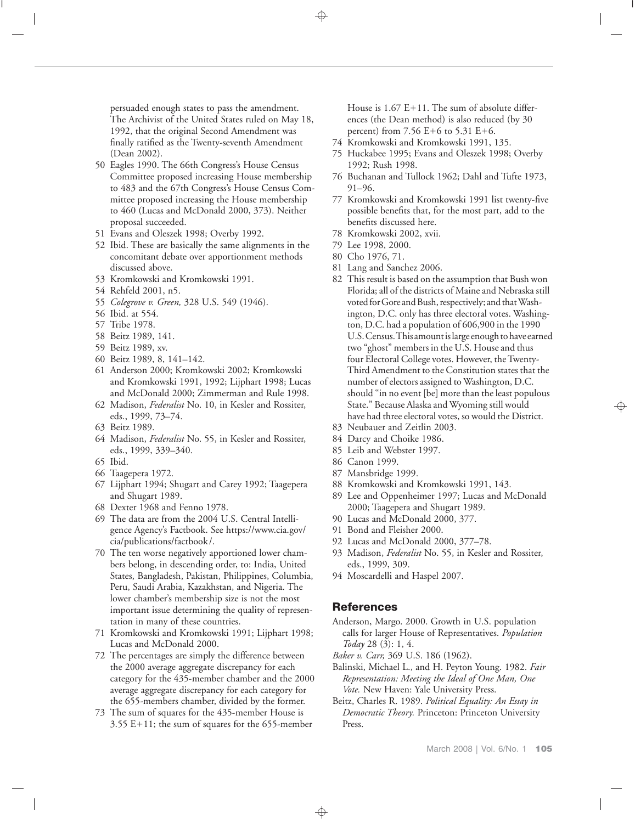persuaded enough states to pass the amendment. The Archivist of the United States ruled on May 18, 1992, that the original Second Amendment was finally ratified as the Twenty-seventh Amendment (Dean 2002).

- 50 Eagles 1990. The 66th Congress's House Census Committee proposed increasing House membership to 483 and the 67th Congress's House Census Committee proposed increasing the House membership to 460 (Lucas and McDonald 2000, 373). Neither proposal succeeded.
- 51 Evans and Oleszek 1998; Overby 1992.
- 52 Ibid. These are basically the same alignments in the concomitant debate over apportionment methods discussed above.
- 53 Kromkowski and Kromkowski 1991.
- 54 Rehfeld 2001, n5.
- 55 *Colegrove v. Green,* 328 U.S. 549 (1946).
- 56 Ibid. at 554.
- 57 Tribe 1978.
- 58 Beitz 1989, 141.
- 59 Beitz 1989, xv.
- 60 Beitz 1989, 8, 141–142.
- 61 Anderson 2000; Kromkowski 2002; Kromkowski and Kromkowski 1991, 1992; Lijphart 1998; Lucas and McDonald 2000; Zimmerman and Rule 1998.
- 62 Madison, *Federalist* No. 10, in Kesler and Rossiter, eds., 1999, 73–74.
- 63 Beitz 1989.
- 64 Madison, *Federalist* No. 55, in Kesler and Rossiter, eds., 1999, 339–340.
- 65 Ibid.
- 66 Taagepera 1972.
- 67 Lijphart 1994; Shugart and Carey 1992; Taagepera and Shugart 1989.
- 68 Dexter 1968 and Fenno 1978.
- 69 The data are from the 2004 U.S. Central Intelligence Agency's Factbook. See https://www.cia.gov/ cia/publications/factbook /.
- 70 The ten worse negatively apportioned lower chambers belong, in descending order, to: India, United States, Bangladesh, Pakistan, Philippines, Columbia, Peru, Saudi Arabia, Kazakhstan, and Nigeria. The lower chamber's membership size is not the most important issue determining the quality of representation in many of these countries.
- 71 Kromkowski and Kromkowski 1991; Lijphart 1998; Lucas and McDonald 2000.
- 72 The percentages are simply the difference between the 2000 average aggregate discrepancy for each category for the 435-member chamber and the 2000 average aggregate discrepancy for each category for the 655-members chamber, divided by the former.
- 73 The sum of squares for the 435-member House is 3.55 E-11; the sum of squares for the 655-member

House is 1.67 E-11. The sum of absolute differences (the Dean method) is also reduced (by 30 percent) from 7.56 E-6 to 5.31 E-6.

- 74 Kromkowski and Kromkowski 1991, 135.
- 75 Huckabee 1995; Evans and Oleszek 1998; Overby 1992; Rush 1998.
- 76 Buchanan and Tullock 1962; Dahl and Tufte 1973, 91–96.
- 77 Kromkowski and Kromkowski 1991 list twenty-five possible benefits that, for the most part, add to the benefits discussed here.
- 78 Kromkowski 2002, xvii.
- 79 Lee 1998, 2000.
- 80 Cho 1976, 71.
- 81 Lang and Sanchez 2006.
- 82 This result is based on the assumption that Bush won Florida; all of the districts of Maine and Nebraska still voted for Gore and Bush, respectively; and that Washington, D.C. only has three electoral votes. Washington, D.C. had a population of 606,900 in the 1990 U.S. Census. This amount is large enough to have earned two "ghost" members in the U.S. House and thus four Electoral College votes. However, the Twenty-Third Amendment to the Constitution states that the number of electors assigned to Washington, D.C. should "in no event [be] more than the least populous State." Because Alaska and Wyoming still would have had three electoral votes, so would the District.
- 83 Neubauer and Zeitlin 2003.
- 84 Darcy and Choike 1986.
- 85 Leib and Webster 1997.
- 86 Canon 1999.
- 87 Mansbridge 1999.
- 88 Kromkowski and Kromkowski 1991, 143.
- 89 Lee and Oppenheimer 1997; Lucas and McDonald 2000; Taagepera and Shugart 1989.
- 90 Lucas and McDonald 2000, 377.
- 91 Bond and Fleisher 2000.
- 92 Lucas and McDonald 2000, 377–78.
- 93 Madison, *Federalist* No. 55, in Kesler and Rossiter, eds., 1999, 309.
- 94 Moscardelli and Haspel 2007.

# **References**

Anderson, Margo. 2000. Growth in U.S. population calls for larger House of Representatives. *Population Today* 28 (3): 1, 4.

*Baker v. Carr,* 369 U.S. 186 (1962).

- Balinski, Michael L., and H. Peyton Young. 1982. *Fair Representation: Meeting the Ideal of One Man, One Vote.* New Haven: Yale University Press.
- Beitz, Charles R. 1989. *Political Equality: An Essay in Democratic Theory.* Princeton: Princeton University Press.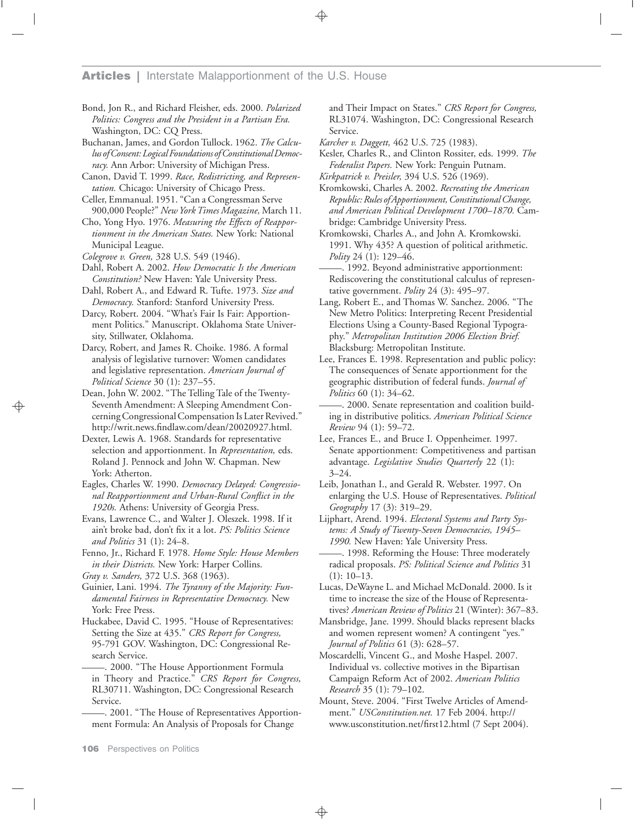Bond, Jon R., and Richard Fleisher, eds. 2000. *Polarized Politics: Congress and the President in a Partisan Era.* Washington, DC: CQ Press.

Buchanan, James, and Gordon Tullock. 1962. *The Calculus ofConsent: Logical Foundations ofConstitutionalDemocracy.* Ann Arbor: University of Michigan Press.

Canon, David T. 1999. *Race, Redistricting, and Representation.* Chicago: University of Chicago Press.

Celler, Emmanual. 1951. "Can a Congressman Serve 900,000 People?" *New York Times Magazine,* March 11.

Cho, Yong Hyo. 1976. *Measuring the Effects of Reapportionment in the American States.* New York: National Municipal League.

*Colegrove v. Green,* 328 U.S. 549 (1946).

Dahl, Robert A. 2002. *How Democratic Is the American Constitution?* New Haven: Yale University Press.

Dahl, Robert A., and Edward R. Tufte. 1973. *Size and Democracy.* Stanford: Stanford University Press.

Darcy, Robert. 2004. "What's Fair Is Fair: Apportionment Politics." Manuscript. Oklahoma State University, Stillwater, Oklahoma.

Darcy, Robert, and James R. Choike. 1986. A formal analysis of legislative turnover: Women candidates and legislative representation. *American Journal of Political Science* 30 (1): 237–55.

Dean, John W. 2002. "The Telling Tale of the Twenty-Seventh Amendment: A Sleeping Amendment Concerning Congressional Compensation Is Later Revived." http://writ.news.findlaw.com/dean/20020927.html.

Dexter, Lewis A. 1968. Standards for representative selection and apportionment. In *Representation,* eds. Roland J. Pennock and John W. Chapman. New York: Atherton.

Eagles, Charles W. 1990. *Democracy Delayed: Congressional Reapportionment and Urban-Rural Conflict in the 1920s.* Athens: University of Georgia Press.

Evans, Lawrence C., and Walter J. Oleszek. 1998. If it ain't broke bad, don't fix it a lot. *PS: Politics Science and Politics* 31 (1): 24–8.

Fenno, Jr., Richard F. 1978. *Home Style: House Members in their Districts.* New York: Harper Collins.

*Gray v. Sanders,* 372 U.S. 368 (1963).

Guinier, Lani. 1994. *The Tyranny of the Majority: Fundamental Fairness in Representative Democracy.* New York: Free Press.

Huckabee, David C. 1995. "House of Representatives: Setting the Size at 435." *CRS Report for Congress,* 95-791 GOV. Washington, DC: Congressional Re-

search Service.<br>— 2000. "The House Apportionment Formula in Theory and Practice." *CRS Report for Congress,* RL30711. Washington, DC: Congressional Research<br>Service.<br>2001. "The House of Representatives Apportion-<br>ment Formula: An Analysis of Proposals for Change

ment Formula: An Analysis of Proposals for Change

**106** Perspectives on Politics

and Their Impact on States." *CRS Report for Congress,* RL31074. Washington, DC: Congressional Research Service.

*Karcher v. Daggett,* 462 U.S. 725 (1983).

Kesler, Charles R., and Clinton Rossiter, eds. 1999. *The Federalist Papers.* New York: Penguin Putnam.

*Kirkpatrick v. Preisler,* 394 U.S. 526 (1969).

Kromkowski, Charles A. 2002. *Recreating the American Republic: Rules of Apportionment,ConstitutionalChange, and American Political Development 1700–1870.* Cambridge: Cambridge University Press.

Kromkowski, Charles A., and John A. Kromkowski. 1991. Why 435? A question of political arithmetic.<br> *Polity* 24 (1): 129–46.<br> **Polity** 24 (1): 129–46.<br> **Rediscovering the constitutional calculus of represe** 

Rediscovering the constitutional calculus of representative government. *Polity* 24 (3): 495–97.

Lang, Robert E., and Thomas W. Sanchez. 2006. "The New Metro Politics: Interpreting Recent Presidential Elections Using a County-Based Regional Typography." *Metropolitan Institution 2006 Election Brief.* Blacksburg: Metropolitan Institute.

Lee, Frances E. 1998. Representation and public policy: The consequences of Senate apportionment for the ric consequences of senate appointment for the<br>
geographic distribution of federal funds. *Journal of*<br> *Politics* 60 (1): 34–62.<br>
<u>and coalition</u> and coalition build-<br>
ing in distributive politics *American Political Scie* 

ing in distributive politics. *American Political Science Review* 94 (1): 59–72.

Lee, Frances E., and Bruce I. Oppenheimer. 1997. Senate apportionment: Competitiveness and partisan advantage. *Legislative Studies Quarterly* 22 (1): 3–24.

Leib, Jonathan I., and Gerald R. Webster. 1997. On enlarging the U.S. House of Representatives. *Political Geography* 17 (3): 319–29.

Lijphart, Arend. 1994. *Electoral Systems and Party Systems: A Study of Twenty-Seven Democracies, 1945–*

1990. New Haven: Yale University Press.<br>**........** 1998. Reforming the House: Three moderately radical proposals. *PS: Political Science and Politics* 31  $(1): 10-13.$ 

Lucas, DeWayne L. and Michael McDonald. 2000. Is it time to increase the size of the House of Representatives? *American Review of Politics* 21 (Winter): 367–83.

Mansbridge, Jane. 1999. Should blacks represent blacks and women represent women? A contingent "yes." *Journal of Politics* 61 (3): 628–57.

Moscardelli, Vincent G., and Moshe Haspel. 2007. Individual vs. collective motives in the Bipartisan Campaign Reform Act of 2002. *American Politics Research* 35 (1): 79–102.

Mount, Steve. 2004. "First Twelve Articles of Amendment." *USConstitution.net.* 17 Feb 2004. http:// www.usconstitution.net/first12.html (7 Sept 2004).